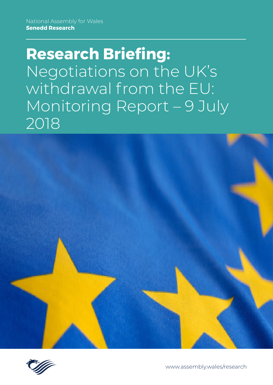# **Research Briefing:** Negotiations on the UK's withdrawal from the EU: Monitoring Report – 9 July 2018





[www.assembly.wales/research](http://www.assembly.wales/research)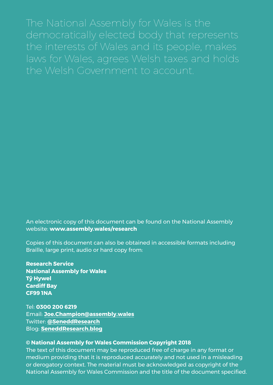The National Assembly for Wales is the democratically elected body that represents the interests of Wales and its people, makes laws for Wales, agrees Welsh taxes and holds the Welsh Government to account.

An electronic copy of this document can be found on the National Assembly website: **www.assembly.wales/research**

Copies of this document can also be obtained in accessible formats including Braille, large print, audio or hard copy from:

**Research Service National Assembly for Wales Tŷ Hywel Cardiff Bay CF99 1NA**

Tel: **0300 200 6219** Email: **[Joe.Champion@assembly.wales](mailto:Manon.George%40assembly.wales?subject=)** Twitter: **[@SeneddResearch](http://www.twitter.com/@SeneddResearch)** Blog: **[SeneddResearch.blog](http://SeneddResearch.blog)**

#### **© National Assembly for Wales Commission Copyright 2018**

The text of this document may be reproduced free of charge in any format or medium providing that it is reproduced accurately and not used in a misleading or derogatory context. The material must be acknowledged as copyright of the National Assembly for Wales Commission and the title of the document specified.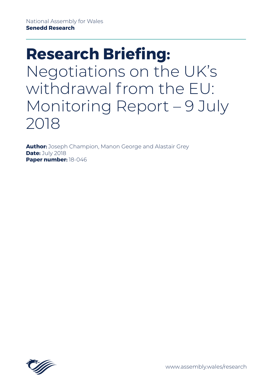# **Research Briefing:** Negotiations on the UK's withdrawal from the EU: Monitoring Report – 9 July 2018

**Author:** Joseph Champion, Manon George and Alastair Grey **Date:** July 2018 **Paper number:** 18-046

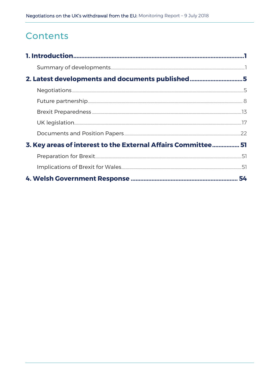# Contents

| 2. Latest developments and documents published5               |    |
|---------------------------------------------------------------|----|
|                                                               |    |
|                                                               |    |
|                                                               |    |
|                                                               |    |
|                                                               |    |
| 3. Key areas of interest to the External Affairs Committee 51 |    |
|                                                               |    |
|                                                               |    |
|                                                               | 54 |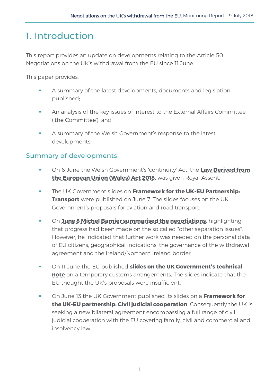# <span id="page-4-0"></span>1. Introduction

This report provides an update on developments relating to the Article 50 Negotiations on the UK's withdrawal from the EU since 11 June.

This paper provides:

- A summary of the latest developments, documents and legislation published;
- An analysis of the key issues of interest to the External Affairs Committee ('the Committee'); and
- A summary of the Welsh Government's response to the latest developments.

## <span id="page-4-1"></span>Summary of developments

- On 6 June the Welsh Government's 'continuity' Act, the **[Law Derived from](http://www.senedd.assembly.wales/mgIssueHistoryHome.aspx?IId=21280)  [the European Union \(Wales\) Act 2018](http://www.senedd.assembly.wales/mgIssueHistoryHome.aspx?IId=21280)**, was given Royal Assent.
- The UK Government slides on **[Framework for the UK](https://www.gov.uk/government/publications/framework-for-the-uk-eu-partnership-transport)-EU Partnership: [Transport](https://www.gov.uk/government/publications/framework-for-the-uk-eu-partnership-transport)** were published on June 7. The slides focuses on the UK Government's proposals for aviation and road transport.
- On **[June 8 Michel Barnier summarised the negotiations](http://europa.eu/rapid/press-release_STATEMENT-18-4105_en.htm)**, highlighting that progress had been made on the so called "other separation issues". However, he indicated that further work was needed on the personal data of EU citizens, geographical indications, the governance of the withdrawal agreement and the Ireland/Northern Ireland border.
- On 11 June the EU published **[slides on the UK Government's technical](https://ec.europa.eu/commission/publications/slides-uk-technical-note-temporary-customs-arrangement_en)  [note](https://ec.europa.eu/commission/publications/slides-uk-technical-note-temporary-customs-arrangement_en)** on a temporary customs arrangements. The slides indicate that the EU thought the UK's proposals were insufficient.
- On June 13 the UK Government published its slides on a **[Framework for](https://www.gov.uk/government/publications/framework-for-the-uk-eu-partnership-judicial-civil-cooperation)  the UK-[EU partnership: Civil judicial cooperation](https://www.gov.uk/government/publications/framework-for-the-uk-eu-partnership-judicial-civil-cooperation)**. Consequently the UK is seeking a new bilateral agreement encompassing a full range of civil judicial cooperation with the EU covering family, civil and commercial and insolvency law.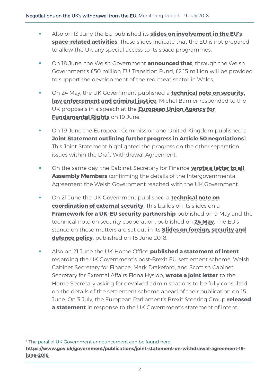- Also on 13 June the EU published its **[slides on involvement in the EU's](https://ec.europa.eu/commission/publications/slides-involvement-eus-space-related-activities_en)  space-[related activities](https://ec.europa.eu/commission/publications/slides-involvement-eus-space-related-activities_en)**. These slides indicate that the EU is not prepared to allow the UK any special access to its space programmes.
- On 18 June, the Welsh Government **[announced that](https://gov.wales/newsroom/environmentandcountryside/2018/180618-over-3m-to-help-meat-fisheries-sectors-prepare-for-brexit/?lang=en)**, through the Welsh Government's £50 million EU Transition Fund, £2.15 million will be provided to support the development of the red meat sector in Wales.
- On 24 May, the UK Government published a **[technical note on security,](https://www.gov.uk/government/publications/technical-note-on-security-law-enforcement-and-criminal-justice)  [law enforcement and criminal justice](https://www.gov.uk/government/publications/technical-note-on-security-law-enforcement-and-criminal-justice)**. Michel Barnier responded to the UK proposals in a speech at the **[European Union Agency for](http://europa.eu/rapid/press-release_SPEECH-18-4213_en.htm)  [Fundamental Rights](http://europa.eu/rapid/press-release_SPEECH-18-4213_en.htm)** on 19 June.
- **On 19 June the European Commission and United Kingdom published a [Joint Statement outlining further progress in Article 50 negotiations](http://europa.eu/rapid/press-release_IP-18-4217_en.htm)**1. This Joint Statement highlighted the progress on the other separation issues within the Draft Withdrawal Agreement.
- On the same day, the Cabinet Secretary for Finance **[wrote a letter to all](http://senedd.assembly.wales/documents/s76649/Correspondence%20from%20the%20Cabinet%20Secretary%20for%20Finance%20regarding%20the%20inter-governmental%20agreement%20bet.pdf)  [Assembly Members](http://senedd.assembly.wales/documents/s76649/Correspondence%20from%20the%20Cabinet%20Secretary%20for%20Finance%20regarding%20the%20inter-governmental%20agreement%20bet.pdf)** confirming the details of the Intergovernmental Agreement the Welsh Government reached with the UK Government.
- On 21 June the UK Government published a **[technical note on](https://www.gov.uk/government/publications/technical-note-on-coordination-of-external-security)  [coordination of external security](https://www.gov.uk/government/publications/technical-note-on-coordination-of-external-security)**. This builds on its slides on a **Framework for a UK-[EU security partnership](https://www.gov.uk/government/publications/framework-for-the-uk-eu-security-partnership)** published on 9 May and the technical note on security cooperation, published on **[24 May](https://www.gov.uk/government/publications/technical-note-on-consultation-and-cooperation-on-external-security)**. The EU's stance on these matters are set out in its **[Slides on foreign, security and](https://ec.europa.eu/commission/publications/slides-foreign-security-and-defence-policy_en)  [defence policy](https://ec.europa.eu/commission/publications/slides-foreign-security-and-defence-policy_en)**, published on 15 June 2018.
- Also on 21 June the UK Home Office **[published a statement of intent](https://www.gov.uk/government/news/home-office-publishes-details-of-settlement-scheme-for-eu-citizens)** regarding the UK Government's post-Brexit EU settlement scheme. Welsh Cabinet Secretary for Finance, Mark Drakeford, and Scottish Cabinet Secretary for External Affairs Fiona Hyslop, **[wrote a joint letter](https://gov.wales/newsroom/finance1/2018/180615-letter-to-home-secretary/?lang=en)** to the Home Secretary asking for devolved administrations to be fully consulted on the details of the settlement scheme ahead of their publication on 15 June. On 3 July, the European Parliament's Brexit Steering Group **[released](http://www.europarl.europa.eu/news/en/press-room/20180702IPR07021/statement-by-the-brexit-steering-group-on-uk-paper-on-eu-citizens-in-the-uk)  [a statement](http://www.europarl.europa.eu/news/en/press-room/20180702IPR07021/statement-by-the-brexit-steering-group-on-uk-paper-on-eu-citizens-in-the-uk)** in response to the UK Government's statement of intent.

-

<sup>&</sup>lt;sup>1</sup> The parallel UK Government announcement can be found here:

**[https://www.gov.uk/government/publications/joint-statement-on-withdrawal-agreement-19](https://www.gov.uk/government/publications/joint-statement-on-withdrawal-agreement-19-june-2018) [june-2018](https://www.gov.uk/government/publications/joint-statement-on-withdrawal-agreement-19-june-2018)**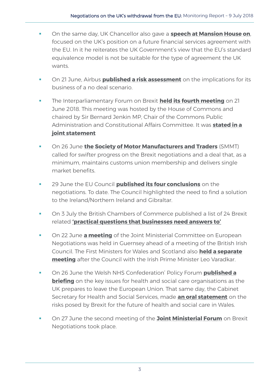- On the same day, UK Chancellor also gave a **[speech at Mansion House on](https://www.gov.uk/government/speeches/mansion-house-2018-speech-by-the-chancellor-of-the-exchequer)**, focused on the UK's position on a future financial services agreement with the EU. In it he reiterates the UK Government's view that the EU's standard equivalence model is not be suitable for the type of agreement the UK wants.
- On 21 June, Airbus **[published a risk assessment](http://www.airbus.com/company/worldwide-presence/uk.html#Economy)** on the implications for its business of a no deal scenario.
- The Interparliamentary Forum on Brexit **[held its fourth meeting](https://www.parliament.uk/business/committees/committees-a-z/lords-select/eu-select-committee-/news-parliament-2017/interparliament-forum-brexit-meeting/)** on 21 June 2018. This meeting was hosted by the House of Commons and chaired by Sir Bernard Jenkin MP, Chair of the Commons Public Administration and Constitutional Affairs Committee. It was **[stated in a](https://www.parliament.uk/documents/lords-committees/eu-select/interparliamentary-forum-on-brexit/4th-interparliamentary-forum-brexit.pdf)  [joint statement](https://www.parliament.uk/documents/lords-committees/eu-select/interparliamentary-forum-on-brexit/4th-interparliamentary-forum-brexit.pdf)**
- On 26 June **[the Society of Motor Manufacturers and Traders](https://www.smmt.co.uk/2018/06/uk-automotive-industry-urges-rethink-on-brexit-red-lines-as-uncertainty-bites/)** (SMMT) called for swifter progress on the Brexit negotiations and a deal that, as a minimum, maintains customs union membership and delivers single market benefits.
- 29 June the EU Council **[published its four conclusions](http://www.consilium.europa.eu/en/press/press-releases/2018/06/29/20180629-euco-conclusions-art-50/)** on the negotiations. To date. The Council highlighted the need to find a solution to the Ireland/Northern Ireland and Gibraltar.
- On 3 July the British Chambers of Commerce published a list of 24 Brexit related **['practical questions that businesses need answers to'](http://www.britishchambers.org.uk/policy-maker/policy-reports-and-publications/brexit-24-practical-questions-that-businesses-need-answers-to.html)**
- **The Stephen 22 June [a meeting](https://www.gov.uk/government/publications/communique-from-the-jmcen-22-june)** of the Joint Ministerial Committee on European Negotiations was held in Guernsey ahead of a meeting of the British Irish Council. The First Ministers for Wales and Scotland also **[held a separate](https://www.bbc.co.uk/news/uk-northern-ireland-44574039)  [meeting](https://www.bbc.co.uk/news/uk-northern-ireland-44574039)** after the Council with the Irish Prime Minister Leo Varadkar.
- On 26 June the Welsh NHS Confederation' Policy Forum **[published a](https://www.bda.uk.com/professional/influencing/wnhsc_brexit_briefing.pdf)  [briefing](https://www.bda.uk.com/professional/influencing/wnhsc_brexit_briefing.pdf)** on the key issues for health and social care organisations as the UK prepares to leave the European Union. That same day, the Cabinet Secretary for Health and Social Services, made **[an oral statement](http://record.assembly.wales/Plenary/4994#A44490)** on the risks posed by Brexit for the future of health and social care in Wales.
- On 27 June the second meeting of the **[Joint Ministerial Forum](https://www.gov.uk/government/publications/ministerial-forum-eu-negotiations)** on Brexit Negotiations took place.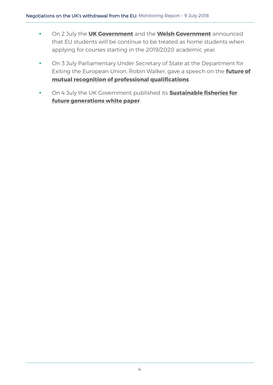- On 2 July the **[UK Government](https://www.gov.uk/government/news/further-financial-support-for-uk-and-eu-students)** and the **[Welsh Government](https://gov.wales/newsroom/educationandskills/2018/kirsty-williams-confirms-eu-student-funding-guarantee-for-welsh-universities/?lang=en)** announced that EU students will be continue to be treated as home students when applying for courses starting in the 2019/2020 academic year.
- **On 3 July Parliamentary Under Secretary of State at the Department for** Exiting the European Union, Robin Walker, gave a speech on the **[future of](https://www.gov.uk/government/news/robin-walker-securing-the-future-of-mrpq)  [mutual recognition of professional qualifications](https://www.gov.uk/government/news/robin-walker-securing-the-future-of-mrpq)**.
- On 4 July the UK Government published its **[Sustainable fisheries for](https://www.gov.uk/government/consultations/fisheries-white-paper-sustainable-fisheries-for-future-generations)  [future generations white paper](https://www.gov.uk/government/consultations/fisheries-white-paper-sustainable-fisheries-for-future-generations)**.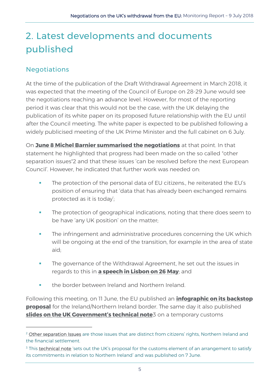# <span id="page-8-0"></span>2. Latest developments and documents published

## <span id="page-8-1"></span>Negotiations

-

At the time of the publication of the Draft Withdrawal Agreement in March 2018, it was expected that the meeting of the Council of Europe on 28-29 June would see the negotiations reaching an advance level. However, for most of the reporting period it was clear that this would not be the case, with the UK delaying the publication of its white paper on its proposed future relationship with the EU until after the Council meeting. The white paper is expected to be published following a widely publicised meeting of the UK Prime Minister and the full cabinet on 6 July.

On **[June 8 Michel Barnier summarised the negotiations](http://europa.eu/rapid/press-release_STATEMENT-18-4105_en.htm)** at that point. In that statement he highlighted that progress had been made on the so called "other separation issues"2 and that these issues 'can be resolved before the next European Council'. However, he indicated that further work was needed on:

- The protection of the personal data of EU citizens., he reiterated the EU's position of ensuring that 'data that has already been exchanged remains protected as it is today';
- The protection of geographical indications, noting that there does seem to be have 'any UK position' on the matter;
- **The infringement and administrative procedures concerning the UK which** will be ongoing at the end of the transition, for example in the area of state aid;
- The governance of the Withdrawal Agreement, he set out the issues in regards to this in **[a speech in Lisbon on 26 May](http://europa.eu/rapid/press-release_SPEECH-18-3962_en.htm)**; and
- the border between Ireland and Northern Ireland.

Following this meeting, on 11 June, the EU published an **[infographic on its](https://ec.europa.eu/commission/publications/infographic-eus-backstop-proposal_en) backstop [proposal](https://ec.europa.eu/commission/publications/infographic-eus-backstop-proposal_en)** for the Ireland/Northern Ireland border. The same day it also published **[slides on the UK](https://ec.europa.eu/commission/publications/slides-uk-technical-note-temporary-customs-arrangement_en) Government's technical note**3 on a temporary customs

<sup>&</sup>lt;sup>2</sup> [Other separation Issues](https://www.gov.uk/government/publications/technical-note-other-separation-issues-phase-2) are those issues that are distinct from citizens' rights, Northern Ireland and the financial settlement.

<sup>&</sup>lt;sup>3</sup> This [technical note](https://www.gov.uk/government/publications/technical-note-on-temporary-customs-arrangement?utm_source=2ee1e4f1-35e9-4abd-911e-a64bb2616a3e&utm_medium=email&utm_campaign=govuk-notifications&utm_content=immediate) 'sets out the UK's proposal for the customs element of an arrangement to satisfy its commitments in relation to Northern Ireland' and was published on 7 June.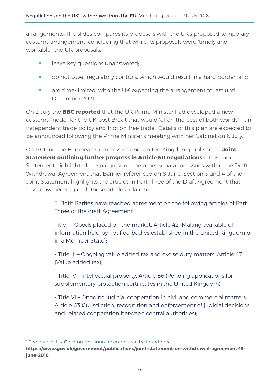arrangements. The slides compares its proposals with the UK's proposed temporary customs arrangement, concluding that while its proposals were 'timely and workable', the UK proposals:

- leave key questions unanswered;
- do not cover regulatory controls, which would result in a hard border; and
- are time-limited, with the UK expecting the arrangement to last until December 2021.

On 2 July the **BBC [reported](https://www.bbc.co.uk/news/uk-politics-44671507?intlink_from_url=https://www.bbc.co.uk/news/topics/cwlw3xz0lvvt/brexit&link_location=live-reporting-story)** that the UK Prime Minister had developed a new customs model for the UK post Brexit that would 'offer "the best of both worlds" - an independent trade policy and friction-free trade'. Details of this plan are expected to be announced following the Prime Minister's meeting with her Cabinet on 6 July.

On 19 June the European Commission and United Kingdom published a **[Joint](http://europa.eu/rapid/press-release_IP-18-4217_en.htm)  [Statement outlining further progress in Article 50 negotiations](http://europa.eu/rapid/press-release_IP-18-4217_en.htm)**4. This Joint Statement highlighted the progress on the other separation issues within the Draft Withdrawal Agreement that Barnier referenced on 8 June. Section 3 and 4 of the Joint Statement highlights the articles in Part Three of the Draft Agreement that have now been agreed. These articles relate to:

> 3. Both Parties have reached agreement on the following articles of Part Three of the draft Agreement:

Title I – Goods placed on the market: Article 42 (Making available of information held by notified bodies established in the United Kingdom or in a Member State);

- Title III – Ongoing value added tax and excise duty matters: Article 47 (Value added tax);

- Title IV – Intellectual property: Article 56 (Pending applications for supplementary protection certificates in the United Kingdom);

- Title VI – Ongoing judicial cooperation in civil and commercial matters: Article 63 (Jurisdiction, recognition and enforcement of judicial decisions, and related cooperation between central authorities);

-

<sup>4</sup> The parallel UK Government announcement can be found here:

**[https://www.gov.uk/government/publications/joint-statement-on-withdrawal-agreement-19](https://www.gov.uk/government/publications/joint-statement-on-withdrawal-agreement-19-june-2018) [june-2018](https://www.gov.uk/government/publications/joint-statement-on-withdrawal-agreement-19-june-2018)**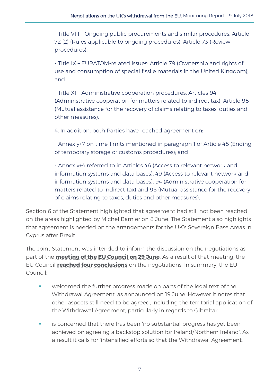- Title VIII – Ongoing public procurements and similar procedures: Article 72 (2) (Rules applicable to ongoing procedures); Article 73 (Review procedures);

- Title IX – EURATOM-related issues: Article 79 (Ownership and rights of use and consumption of special fissile materials in the United Kingdom); and

- Title XI – Administrative cooperation procedures: Articles 94 (Administrative cooperation for matters related to indirect tax); Article 95 (Mutual assistance for the recovery of claims relating to taxes, duties and other measures).

4. In addition, both Parties have reached agreement on:

- Annex y+7 on time-limits mentioned in paragraph 1 of Article 45 (Ending of temporary storage or customs procedures); and

- Annex y+4 referred to in Articles 46 (Access to relevant network and information systems and data bases), 49 (Access to relevant network and information systems and data bases), 94 (Administrative cooperation for matters related to indirect tax) and 95 (Mutual assistance for the recovery of claims relating to taxes, duties and other measures).

Section 6 of the Statement highlighted that agreement had still not been reached on the areas highlighted by Michel Barnier on 8 June. The Statement also highlights that agreement is needed on the arrangements for the UK's Sovereign Base Areas in Cyprus after Brexit.

The Joint Statement was intended to inform the discussion on the negotiations as part of the **[meeting of the EU Council on 29 June](http://www.consilium.europa.eu/en/meetings/european-council/2018/06/29/)**. As a result of that meeting, the EU Council **[reached four conclusions](http://www.consilium.europa.eu/en/press/press-releases/2018/06/29/20180629-euco-conclusions-art-50/)** on the negotiations. In summary, the EU Council:

- welcomed the further progress made on parts of the legal text of the Withdrawal Agreement, as announced on 19 June. However it notes that other aspects still need to be agreed, including the territorial application of the Withdrawal Agreement, particularly in regards to Gibraltar.
- is concerned that there has been 'no substantial progress has yet been achieved on agreeing a backstop solution for Ireland/Northern Ireland'. As a result it calls for 'intensified efforts so that the Withdrawal Agreement,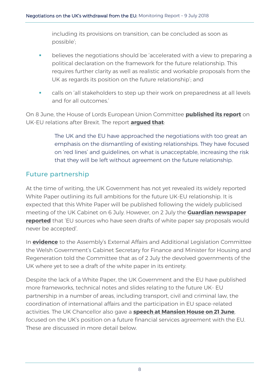including its provisions on transition, can be concluded as soon as possible';

- **•** believes the negotiations should be 'accelerated with a view to preparing a political declaration on the framework for the future relationship. This requires further clarity as well as realistic and workable proposals from the UK as regards its position on the future relationship'; and
- calls on 'all stakeholders to step up their work on preparedness at all levels and for all outcomes.'

On 8 June, the House of Lords European Union Committee **[published its report](https://publications.parliament.uk/pa/ld201719/ldselect/ldeucom/149/149.pdf)** on UK-EU relations after Brexit. The report **[argued](https://publications.parliament.uk/pa/ld201719/ldselect/ldeucom/149/149.pdf) that**:

> The UK and the EU have approached the negotiations with too great an emphasis on the dismantling of existing relationships. They have focused on 'red lines' and guidelines, on what is unacceptable, increasing the risk that they will be left without agreement on the future relationship.

### <span id="page-11-0"></span>Future partnership

At the time of writing, the UK Government has not yet revealed its widely reported White Paper outlining its full ambitions for the future UK-EU relationship. It is expected that this White Paper will be published following the widely publicised meeting of the UK Cabinet on 6 July. However, on 2 July the **[Guardian newspaper](https://www.theguardian.com/politics/2018/jul/02/uk-latest-brexit-proposal-is-unrealistic-say-eu-officials)  [reported](https://www.theguardian.com/politics/2018/jul/02/uk-latest-brexit-proposal-is-unrealistic-say-eu-officials)** that 'EU sources who have seen drafts of white paper say proposals would never be accepted'.

In **[evidence](http://record.assembly.wales/Committee/4784)** to the Assembly's External Affairs and Additional Legislation Committee the Welsh Government's Cabinet Secretary for Finance and Minister for Housing and Regeneration told the Committee that as of 2 July the devolved governments of the UK where yet to see a draft of the white paper in its entirety.

Despite the lack of a White Paper, the UK Government and the EU have published more frameworks, technical notes and slides relating to the future UK- EU partnership in a number of areas, including transport, civil and criminal law, the coordination of international affairs and the participation in EU space-related activities. The UK Chancellor also gave a **[speech at Mansion House on 21 June](https://www.gov.uk/government/speeches/mansion-house-2018-speech-by-the-chancellor-of-the-exchequer)**, focused on the UK's position on a future financial services agreement with the EU. These are discussed in more detail below.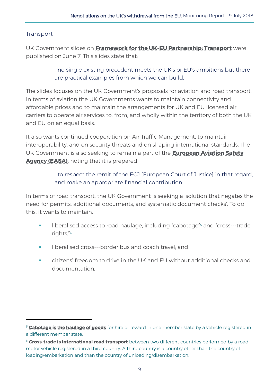#### Transport

-

UK Government slides on **Framework for the UK-[EU Partnership: Transport](https://www.gov.uk/government/publications/framework-for-the-uk-eu-partnership-transport)** were published on June 7. This slides state that:

> …no single existing precedent meets the UK's or EU's ambitions but there are practical examples from which we can build.

The slides focuses on the UK Government's proposals for aviation and road transport. In terms of aviation the UK Governments wants to maintain connectivity and affordable prices and to maintain the arrangements for UK and EU licensed air carriers to operate air services to, from, and wholly within the territory of both the UK and EU on an equal basis.

It also wants continued cooperation on Air Traffic Management, to maintain interoperability, and on security threats and on shaping international standards. The UK Government is also seeking to remain a part of the **[European Aviation Safety](https://www.easa.europa.eu/)  [Agency \(EASA\)](https://www.easa.europa.eu/)**, noting that it is prepared:

> …to respect the remit of the ECJ [European Court of Justice] in that regard, and make an appropriate financial contribution.

In terms of road transport, the UK Government is seeking a 'solution that negates the need for permits, additional documents, and systematic document checks'. To do this, it wants to maintain:

- liberalised access to road haulage, including "cabotage"<sup>5</sup> and "cross---trade" rights."<sup>6</sup>
- liberalised cross---border bus and coach travel: and
- citizens' freedom to drive in the UK and EU without additional checks and documentation.

<sup>5</sup> **[Cabotage is the haulage of goods](https://www.gov.uk/cabotage)** for hire or reward in one member state by a vehicle registered in a different member state.

<sup>&</sup>lt;sup>6</sup> [Cross-trade is international road transport](http://ec.europa.eu/eurostat/statistics-explained/index.php/Glossary:Cross-trade) between two different countries performed by a road motor vehicle registered in a third country. A third country is a country other than the country of loading/embarkation and than the country of unloading/disembarkation.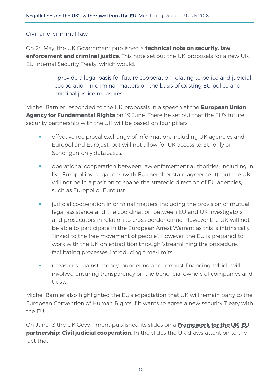#### Civil and criminal law

On 24 May, the UK Government published a **[technical note on security, law](https://www.gov.uk/government/publications/technical-note-on-security-law-enforcement-and-criminal-justice)  [enforcement and criminal justice](https://www.gov.uk/government/publications/technical-note-on-security-law-enforcement-and-criminal-justice)**. This note set out the UK proposals for a new UK-EU Internal Security Treaty, which would:

> …provide a legal basis for future cooperation relating to police and judicial cooperation in criminal matters on the basis of existing EU police and criminal justice measures.

Michel Barnier responded to the UK proposals in a speech at the **[European Union](http://europa.eu/rapid/press-release_SPEECH-18-4213_en.htm)  [Agency for Fundamental Rights](http://europa.eu/rapid/press-release_SPEECH-18-4213_en.htm)** on 19 June. There he set out that the EU's future security partnership with the UK will be based on four pillars:

- **EXE** effective reciprocal exchange of information, including UK agencies and Europol and Eurojust, but will not allow for UK access to EU-only or Schengen-only databases.
- operational cooperation between law enforcement authorities, including in live Europol investigations (with EU member state agreement), but the UK will not be in a position to shape the strategic direction of EU agencies, such as Europol or Eurojust.
- **•** judicial cooperation in criminal matters, including the provision of mutual legal assistance and the coordination between EU and UK investigators and prosecutors in relation to cross border crime. However the UK will not be able to participate in the European Arrest Warrant as this is intrinsically 'linked to the free movement of people'. However, the EU is prepared to work with the UK on extradition through 'streamlining the procedure, facilitating processes, introducing time-limits'.
- **nameasures against money laundering and terrorist financing, which will** involved ensuring transparency on the beneficial owners of companies and trusts.

Michel Barnier also highlighted the EU's expectation that UK will remain party to the European Convention of Human Rights if it wants to agree a new security Treaty with the EU.

On June 13 the UK Government published its slides on a **[Framework for the UK](https://www.gov.uk/government/publications/framework-for-the-uk-eu-partnership-judicial-civil-cooperation)-EU [partnership: Civil judicial cooperation](https://www.gov.uk/government/publications/framework-for-the-uk-eu-partnership-judicial-civil-cooperation)**. In the slides the UK draws attention to the fact that: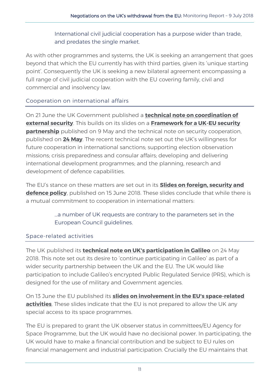International civil judicial cooperation has a purpose wider than trade, and predates the single market.

As with other programmes and systems, the UK is seeking an arrangement that goes beyond that which the EU currently has with third parties, given its 'unique starting point'. Consequently the UK is seeking a new bilateral agreement encompassing a full range of civil judicial cooperation with the EU covering family, civil and commercial and insolvency law.

#### Cooperation on international affairs

On 21 June the UK Government published a **[technical note on coordination of](https://www.gov.uk/government/publications/technical-note-on-coordination-of-external-security)  [external security](https://www.gov.uk/government/publications/technical-note-on-coordination-of-external-security)**. This builds on its slides on a **Framework for a UK-[EU security](https://www.gov.uk/government/publications/framework-for-the-uk-eu-security-partnership)  [partnership](https://www.gov.uk/government/publications/framework-for-the-uk-eu-security-partnership)** published on 9 May and the technical note on security cooperation, published on **[24 May](https://www.gov.uk/government/publications/technical-note-on-consultation-and-cooperation-on-external-security)**. The recent technical note set out the UK's willingness for future cooperation in international sanctions; supporting election observation missions; crisis preparedness and consular affairs; developing and delivering international development programmes; and the planning, research and development of defence capabilities.

The EU's stance on these matters are set out in its **[Slides on foreign, security and](https://ec.europa.eu/commission/publications/slides-foreign-security-and-defence-policy_en)  [defence policy](https://ec.europa.eu/commission/publications/slides-foreign-security-and-defence-policy_en)**, published on 15 June 2018. These slides conclude that while there is a mutual commitment to cooperation in international matters:

#### …a number of UK requests are contrary to the parameters set in the European Council guidelines.

#### Space-related activities

The UK published its **[technical note on UK's participation in Galileo](https://www.gov.uk/government/publications/technical-note-on-uks-participation-in-galileo)** on 24 May 2018. This note set out its desire to 'continue participating in Galileo' as part of a wider security partnership between the UK and the EU. The UK would like participation to include Galileo's encrypted Public Regulated Service (PRS), which is designed for the use of military and Government agencies.

On 13 June the EU published its **[slides on involvement in the EU's space](https://ec.europa.eu/commission/publications/slides-involvement-eus-space-related-activities_en)-related [activities](https://ec.europa.eu/commission/publications/slides-involvement-eus-space-related-activities_en)**. These slides indicate that the EU is not prepared to allow the UK any special access to its space programmes.

The EU is prepared to grant the UK observer status in committees/EU Agency for Space Programme, but the UK would have no decisional power. In participating, the UK would have to make a financial contribution and be subject to EU rules on financial management and industrial participation. Crucially the EU maintains that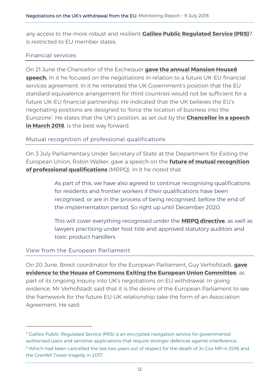any access to the more robust and resilient **[Galileo Public Regulated Service \(PRS\)](https://www.gsa.europa.eu/security/prs)**7 is restricted to EU member states.

#### Financial services

On 21 June the Chancellor of the Exchequer **[gave the annual Mansion House](https://www.gov.uk/government/speeches/mansion-house-2018-speech-by-the-chancellor-of-the-exchequer)8 [speech.](https://www.gov.uk/government/speeches/mansion-house-2018-speech-by-the-chancellor-of-the-exchequer)** In it he focused on the negotiations in relation to a future UK-EU financial services agreement. In it he reiterated the UK Government's position that the EU standard equivalence arrangement for third countries would not be sufficient for a future UK-EU financial partnership. He indicated that the UK believes the EU's negotiating positions are designed to 'force the location of business into the Eurozone'. He states that the UK's position, as set out by the **[Chancellor in a speech](https://www.gov.uk/government/speeches/chancellors-hsbc-speech-financial-services)  [in March 2018](https://www.gov.uk/government/speeches/chancellors-hsbc-speech-financial-services)**, is the best way forward.

#### Mutual recognition of professional qualifications

On 3 July Parliamentary Under Secretary of State at the Department for Exiting the European Union, Robin Walker, gave a speech on the **[future of mutual recognition](https://www.gov.uk/government/news/robin-walker-securing-the-future-of-mrpq)  [of professional qualifications](https://www.gov.uk/government/news/robin-walker-securing-the-future-of-mrpq)** (MRPQ). In it he noted that

> As part of this, we have also agreed to continue recognising qualifications for residents and frontier workers if their qualifications have been recognised, or are in the process of being recognised, before the end of the implementation period. So right up until December 2020.

This will cover everything recognised under the **[MRPQ directive](https://ec.europa.eu/growth/single-market/services/free-movement-professionals/qualifications-recognition_en)**, as well as lawyers practising under host title and approved statutory auditors and toxic product handlers.

#### View from the European Parliament

-

On 20 June, Brexit coordinator for the European Parliament, Guy Verhofstadt, **[gave](http://data.parliament.uk/writtenevidence/committeeevidence.svc/evidencedocument/exiting-the-european-union-committee/the-progress-of-the-uks-negotiations-on-eu-withdrawal/oral/85826.pdf)  [evidence to the House of Commons Exiting the European Union Committee](http://data.parliament.uk/writtenevidence/committeeevidence.svc/evidencedocument/exiting-the-european-union-committee/the-progress-of-the-uks-negotiations-on-eu-withdrawal/oral/85826.pdf)**, as part of its ongoing inquiry into UK's negotiations on EU withdrawal. In giving evidence, Mr Verhofstadt said that it is the desire of the European Parliament to see the framework for the future EU-UK relationship take the form of an Association Agreement. He said:

<sup>&</sup>lt;sup>7</sup> Galileo Public Regulated Service (PRS) is an encrypted navigation service for governmental authorised users and sensitive applications that require stronger defences against interference. <sup>8</sup> Which had been cancelled the last two years out of respect for the death of Jo Cox MP in 2016 and the Grenfell Tower tragedy in 2017.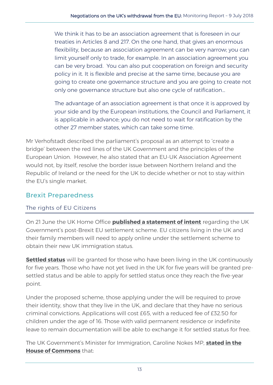We think it has to be an association agreement that is foreseen in our treaties in Articles 8 and 217. On the one hand, that gives an enormous flexibility, because an association agreement can be very narrow; you can limit yourself only to trade, for example. In an association agreement you can be very broad. You can also put cooperation on foreign and security policy in it. It is flexible and precise at the same time, because you are going to create one governance structure and you are going to create not only one governance structure but also one cycle of ratification…

The advantage of an association agreement is that once it is approved by your side and by the European institutions, the Council and Parliament, it is applicable in advance; you do not need to wait for ratification by the other 27 member states, which can take some time.

Mr Verhofstadt described the parliament's proposal as an attempt to 'create a bridge' between the red lines of the UK Government and the principles of the European Union. However, he also stated that an EU-UK Association Agreement would not, by itself, resolve the border issue between Northern Ireland and the Republic of Ireland or the need for the UK to decide whether or not to stay within the EU's single market.

## <span id="page-16-0"></span>Brexit Preparedness

#### The rights of EU Citizens

On 21 June the UK Home Office **[published a statement of intent](https://www.gov.uk/government/news/home-office-publishes-details-of-settlement-scheme-for-eu-citizens)** regarding the UK Government's post-Brexit EU settlement scheme. EU citizens living in the UK and their family members will need to apply online under the settlement scheme to obtain their new UK immigration status.

**[Settled status](https://www.gov.uk/settled-status-eu-citizens-families)** will be granted for those who have been living in the UK continuously for five years. Those who have not yet lived in the UK for five years will be granted presettled status and be able to apply for settled status once they reach the five-year point.

Under the proposed scheme, those applying under the will be required to prove their identity, show that they live in the UK, and declare that they have no serious criminal convictions. Applications will cost £65, with a reduced fee of £32.50 for children under the age of 16. Those with valid permanent residence or indefinite leave to remain documentation will be able to exchange it for settled status for free.

The UK Government's Minister for Immigration, Caroline Nokes MP, **[stated in the](https://hansard.parliament.uk/Commons/2018-06-21/debates/F9399B0C-6967-4F2C-BF14-FCD3F4DEBC4A/EUSettlementScheme#contribution-C34D929B-5BC9-4F91-8CBF-F93390071703)  [House of Commons](https://hansard.parliament.uk/Commons/2018-06-21/debates/F9399B0C-6967-4F2C-BF14-FCD3F4DEBC4A/EUSettlementScheme#contribution-C34D929B-5BC9-4F91-8CBF-F93390071703)** that: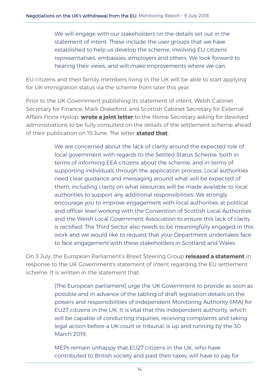We will engage with our stakeholders on the details set out in the statement of intent. These include the user groups that we have established to help us develop the scheme, involving EU citizens' representatives, embassies, employers and others. We look forward to hearing their views, and will make improvements where we can.

EU citizens and their family members living in the UK will be able to start applying for UK immigration status via the scheme from later this year.

Prior to the UK Government publishing its statement of intent, Welsh Cabinet Secretary for Finance, Mark Drakeford, and Scottish Cabinet Secretary for External Affairs Fiona Hyslop, **[wrote a joint letter](https://gov.wales/newsroom/finance1/2018/180615-letter-to-home-secretary/?lang=en)** to the Home Secretary asking for devolved administrations to be fully consulted on the details of the settlement scheme ahead of their publication on 15 June. The letter **[stated that](https://gov.wales/newsroom/finance1/2018/180615-letter-to-home-secretary/?lang=en)**:

> We are concerned about the lack of clarity around the expected role of local government with regards to the Settled Status Scheme, both in terms of informing EEA citizens about the scheme, and in terms of supporting individuals through the application process. Local authorities need clear guidance and messaging around what will be expected of them, including clarity on what resources will be made available to local authorities to support any additional responsibilities. We strongly encourage you to improve engagement with local authorities at political and officer level working with the Convention of Scottish Local Authorities and the Welsh Local Government Association to ensure this lack of clarity is rectified. The Third Sector also needs to be meaningfully engaged in this work and we would like to request that your Department undertakes face to face engagement with these stakeholders in Scotland and Wales.

On 3 July, the European Parliament's Brexit Steering Group **[released a statement](http://www.europarl.europa.eu/news/en/press-room/20180702IPR07021/statement-by-the-brexit-steering-group-on-uk-paper-on-eu-citizens-in-the-uk)** in response to the UK Government's statement of intent regarding the EU settlement scheme. It is written in the statement that:

> [The European parliament] urge the UK Government to provide as soon as possible and in advance of the tabling of draft legislation details on the powers and responsibilities of Independent Monitoring Authority (IMA) for EU27 citizens in the UK. It is vital that this independent authority, which will be capable of conducting inquiries, receiving complaints and taking legal action before a UK court or tribunal, is up and running by the 30 March 2019.

MEPs remain unhappy that EU27 citizens in the UK, who have contributed to British society and paid their taxes, will have to pay for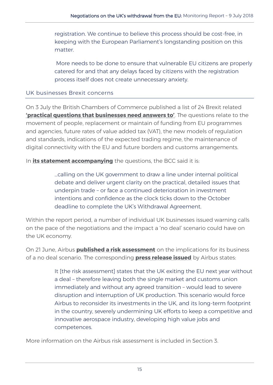registration. We continue to believe this process should be cost-free, in keeping with the European Parliament's longstanding position on this matter.

More needs to be done to ensure that vulnerable EU citizens are properly catered for and that any delays faced by citizens with the registration process itself does not create unnecessary anxiety.

#### UK businesses Brexit concerns

On 3 July the British Chambers of Commerce published a list of 24 Brexit related **['practical questions that businesses need answers to'](http://www.britishchambers.org.uk/policy-maker/policy-reports-and-publications/brexit-24-practical-questions-that-businesses-need-answers-to.html)**. The questions relate to the movement of people, replacement or maintain of funding from EU programmes and agencies, future rates of value added tax (VAT), the new models of regulation and standards, indications of the expected trading regime, the maintenance of digital connectivity with the EU and future borders and customs arrangements.

In **[its statement accompanying](http://www.britishchambers.org.uk/press-office/press-releases/brexit-time-running-out-for-answers-to-firms’-real-world-questions,-says-bcc.html)** the questions, the BCC said it is:

…calling on the UK government to draw a line under internal political debate and deliver urgent clarity on the practical, detailed issues that underpin trade – or face a continued deterioration in investment intentions and confidence as the clock ticks down to the October deadline to complete the UK's Withdrawal Agreement.

Within the report period, a number of individual UK businesses issued warning calls on the pace of the negotiations and the impact a 'no deal' scenario could have on the UK economy.

On 21 June, Airbus **[published a risk assessment](http://www.airbus.com/company/worldwide-presence/uk.html#Economy)** on the implications for its business of a no deal scenario. The corresponding **[press release issued](http://www.airbus.com/newsroom/press-releases/en/2018/06/airbus-provides-update-on-impact-of-brexit-no-deal-deal-scenario.html?utm_source=POLITICO.EU&utm_campaign=a74075b56f-EMAIL_CAMPAIGN_2018_06_22_05_31&utm_medium=email&utm_term=0_10959edeb5-a74075b56f-189693569)** by Airbus states:

> It [the risk assessment] states that the UK exiting the EU next year without a deal – therefore leaving both the single market and customs union immediately and without any agreed transition – would lead to severe disruption and interruption of UK production. This scenario would force Airbus to reconsider its investments in the UK, and its long-term footprint in the country, severely undermining UK efforts to keep a competitive and innovative aerospace industry, developing high value jobs and competences.

More information on the Airbus risk assessment is included in Section 3.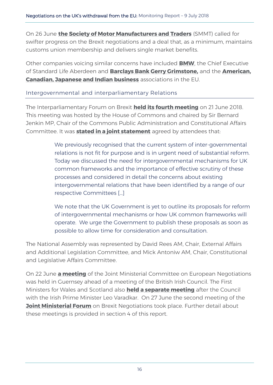On 26 June **[the Society of Motor Manufacturers and Traders](https://www.smmt.co.uk/2018/06/uk-automotive-industry-urges-rethink-on-brexit-red-lines-as-uncertainty-bites/)** (SMMT) called for swifter progress on the Brexit negotiations and a deal that, as a minimum, maintains customs union membership and delivers single market benefits.

Other companies voicing similar concerns have included **[BMW](https://www.bbc.co.uk/news/business-44617154)**, the Chief Executive of Standard Life Aberdeen and **[Barclays Bank Gerry Grimstone,](https://emea01.safelinks.protection.outlook.com/?url=https%3A%2F%2Fpolitico.us8.list-manage.com%2Ftrack%2Fclick%3Fu%3De26c1a1c392386a968d02fdbc%26id%3Dc391cb4063%26e%3Dde7d3503f4&data=02%7C01%7Cnia.moss%40assembly.wales%7Caffa73a2a50a447ab1af08d5db64f4a9%7C38dc5129340c45148a044e8ef2771564%7C1%7C0%7C636656149042846600&sdata=T5DrPAn%2B9ZMZk2%2F3DyJIIG%2BIrAQnt7mShzlHv5Nq3B0%3D&reserved=0)** and the **[American,](http://www.amchameu.eu/news/joint-statement-third-country-investors-urge-brexit-progress-june-eu-council-summit)  [Canadian, Japanese and Indian business](http://www.amchameu.eu/news/joint-statement-third-country-investors-urge-brexit-progress-june-eu-council-summit)** associations in the EU.

#### Intergovernmental and interparliamentary Relations

The Interparliamentary Forum on Brexit **[held its fourth meeting](https://www.parliament.uk/business/committees/committees-a-z/lords-select/eu-select-committee-/news-parliament-2017/interparliament-forum-brexit-meeting/)** on 21 June 2018. This meeting was hosted by the House of Commons and chaired by Sir Bernard Jenkin MP, Chair of the Commons Public Administration and Constitutional Affairs Committee. It was **[stated in a joint statement](https://www.parliament.uk/documents/lords-committees/eu-select/interparliamentary-forum-on-brexit/4th-interparliamentary-forum-brexit.pdf)** agreed by attendees that:

> We previously recognised that the current system of inter-governmental relations is not fit for purpose and is in urgent need of substantial reform. Today we discussed the need for intergovernmental mechanisms for UK common frameworks and the importance of effective scrutiny of these processes and considered in detail the concerns about existing intergovernmental relations that have been identified by a range of our respective Committees […]

> We note that the UK Government is yet to outline its proposals for reform of intergovernmental mechanisms or how UK common frameworks will operate. We urge the Government to publish these proposals as soon as possible to allow time for consideration and consultation.

The National Assembly was represented by David Rees AM, Chair, External Affairs and Additional Legislation Committee, and Mick Antoniw AM, Chair, Constitutional and Legislative Affairs Committee.

On 22 June **[a meeting](https://www.gov.uk/government/publications/communique-from-the-jmcen-22-june)** of the Joint Ministerial Committee on European Negotiations was held in Guernsey ahead of a meeting of the British Irish Council. The First Ministers for Wales and Scotland also **[held a separate meeting](https://www.bbc.co.uk/news/uk-northern-ireland-44574039)** after the Council with the Irish Prime Minister Leo Varadkar. On 27 June the second meeting of the **[Joint Ministerial Forum](https://www.gov.uk/government/publications/ministerial-forum-eu-negotiations)** on Brexit Negotiations took place. Further detail about these meetings is provided in section 4 of this report.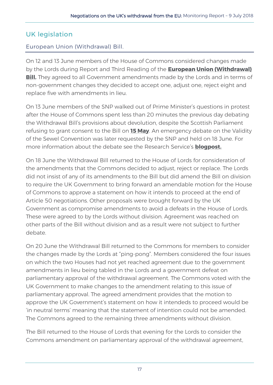## <span id="page-20-0"></span>UK legislation

#### European Union (Withdrawal) Bill.

On 12 and 13 June members of the House of Commons considered changes made by the Lords during Report and Third Reading of the **[European Union \(Withdrawal\)](https://services.parliament.uk/Bills/2017-19/europeanunionwithdrawal.html)  [Bill.](https://services.parliament.uk/Bills/2017-19/europeanunionwithdrawal.html)** They agreed to all Government amendments made by the Lords and in terms of non-government changes they decided to accept one, adjust one, reject eight and replace five with amendments in lieu.

On 13 June members of the SNP walked out of Prime Minister's questions in protest after the House of Commons spent less than 20 minutes the previous day debating the Withdrawal Bill's provisions about devolution, despite the Scottish Parliament refusing to grant consent to the Bill on **[15 May](http://www.parliament.scot/parliamentarybusiness/Bills/105997.aspx)**. An emergency debate on the Validity of the Sewel Convention was later requested by the SNP and held on 18 June. For more information about the debate see the Research Service's **[blogpost.](https://seneddresearch.blog/2018/06/25/what-happens-now-to-the-sewel-convention-developments-in-parliament/)**

On 18 June the Withdrawal Bill returned to the House of Lords for consideration of the amendments that the Commons decided to adjust, reject or replace. The Lords did not insist of any of its amendments to the Bill but did amend the Bill on division to require the UK Government to bring forward an amendable motion for the House of Commons to approve a statement on how it intends to proceed at the end of Article 50 negotiations. Other proposals were brought forward by the UK Government as compromise amendments to avoid a defeats in the House of Lords. These were agreed to by the Lords without division. Agreement was reached on other parts of the Bill without division and as a result were not subject to further debate.

On 20 June the Withdrawal Bill returned to the Commons for members to consider the changes made by the Lords at "ping-pong". Members considered the four issues on which the two Houses had not yet reached agreement due to the government amendments in lieu being tabled in the Lords and a government defeat on parliamentary approval of the withdrawal agreement. The Commons voted with the UK Government to make changes to the amendment relating to this issue of parliamentary approval. The agreed amendment provides that the motion to approve the UK Government's statement on how it intendeds to proceed would be 'in neutral terms' meaning that the statement of intention could not be amended. The Commons agreed to the remaining three amendments without division.

The Bill returned to the House of Lords that evening for the Lords to consider the Commons amendment on parliamentary approval of the withdrawal agreement,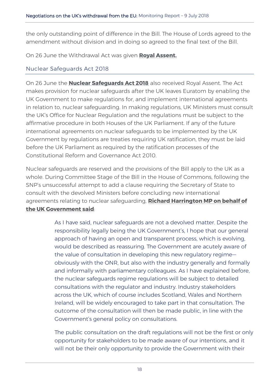the only outstanding point of difference in the Bill. The House of Lords agreed to the amendment without division and in doing so agreed to the final text of the Bill.

On 26 June the Withdrawal Act was given **[Royal Assent.](https://hansard.parliament.uk/lords/2018-06-26/debates/D13B3A5F-B212-4575-90CA-92DB2C0AB3DB/RoyalAssent)**

#### Nuclear Safeguards Act 2018

On 26 June the **[Nuclear Safeguards Act 2018](http://www.legislation.gov.uk/ukpga/2018/15/contents/enacted/data.htm)** also received Royal Assent. The Act makes provision for nuclear safeguards after the UK leaves Euratom by enabling the UK Government to make regulations for, and implement international agreements in relation to, nuclear safeguarding. In making regulations, UK Ministers must consult the UK's Office for Nuclear Regulation and the regulations must be subject to the affirmative procedure in both Houses of the UK Parliament. If any of the future international agreements on nuclear safeguards to be implemented by the UK Government by regulations are treaties requiring UK ratification, they must be laid before the UK Parliament as required by the ratification processes of the Constitutional Reform and Governance Act 2010.

Nuclear safeguards are reserved and the provisions of the Bill apply to the UK as a whole. During Committee Stage of the Bill in the House of Commons, following the SNP's unsuccessful attempt to add a clause requiring the Secretary of State to consult with the devolved Ministers before concluding new international agreements relating to nuclear safeguarding, **[Richard Harrington MP on behalf of](https://goo.gl/C8QtQz)  [the UK Government said](https://goo.gl/C8QtQz)**:

> As I have said, nuclear safeguards are not a devolved matter. Despite the responsibility legally being the UK Government's, I hope that our general approach of having an open and transparent process, which is evolving, would be described as reassuring. The Government are acutely aware of the value of consultation in developing this new regulatory regime obviously with the ONR, but also with the industry generally and formally and informally with parliamentary colleagues. As I have explained before, the nuclear safeguards regime regulations will be subject to detailed consultations with the regulator and industry. Industry stakeholders across the UK, which of course includes Scotland, Wales and Northern Ireland, will be widely encouraged to take part in that consultation. The outcome of the consultation will then be made public, in line with the Government's general policy on consultations.

The public consultation on the draft regulations will not be the first or only opportunity for stakeholders to be made aware of our intentions, and it will not be their only opportunity to provide the Government with their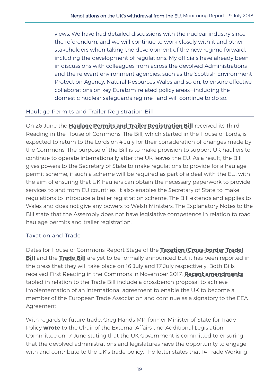views. We have had detailed discussions with the nuclear industry since the referendum, and we will continue to work closely with it and other stakeholders when taking the development of the new regime forward, including the development of regulations. My officials have already been in discussions with colleagues from across the devolved Administrations and the relevant environment agencies, such as the Scottish Environment Protection Agency, Natural Resources Wales and so on, to ensure effective collaborations on key Euratom-related policy areas—including the domestic nuclear safeguards regime—and will continue to do so.

#### Haulage Permits and Trailer Registration Bill

On 26 June the **[Haulage Permits and Trailer Registration Bill](https://services.parliament.uk/Bills/2017-19/haulagepermitsandtrailerregistrationbill.html)** received its Third Reading in the House of Commons. The Bill, which started in the House of Lords, is expected to return to the Lords on 4 July for their consideration of changes made by the Commons. The purpose of the Bill is to make provision to support UK hauliers to continue to operate internationally after the UK leaves the EU. As a result, the Bill gives powers to the Secretary of State to make regulations to provide for a haulage permit scheme, if such a scheme will be required as part of a deal with the EU, with the aim of ensuring that UK hauliers can obtain the necessary paperwork to provide services to and from EU countries. It also enables the Secretary of State to make regulations to introduce a trailer registration scheme. The Bill extends and applies to Wales and does not give any powers to Welsh Ministers. The Explanatory Notes to the Bill state that the Assembly does not have legislative competence in relation to road haulage permits and trailer registration.

#### Taxation and Trade

Dates for House of Commons Report Stage of the **[Taxation \(Cross](https://services.parliament.uk/Bills/2017-19/taxationcrossbordertrade.html)-border Trade) [Bill](https://services.parliament.uk/Bills/2017-19/taxationcrossbordertrade.html)** and the **[Trade Bill](https://services.parliament.uk/Bills/2017-19/trade.html)** are yet to be formally announced but it has been reported in the press that they will take place on 16 July and 17 July respectively. Both Bills received First Reading in the Commons in November 2017. **[Recent amendments](https://publications.parliament.uk/pa/bills/cbill/2017-2019/0122/amend/trade_rm_rep_0627.pdf)** tabled in relation to the Trade Bill include a crossbench proposal to achieve implementation of an international agreement to enable the UK to become a member of the European Trade Association and continue as a signatory to the EEA Agreement.

With regards to future trade, Greg Hands MP, former Minister of State for Trade Policy **[wrote](http://senedd.assembly.wales/documents/s76604/Correspondence%20from%20Greg%20Hands%20MP%20Minister%20of%20State%20regarding%20the%20implications%20of%20future%20trade%20pol.pdf)** to the Chair of the External Affairs and Additional Legislation Committee on 17 June stating that the UK Government is committed to ensuring that the devolved administrations and legislatures have the opportunity to engage with and contribute to the UK's trade policy. The letter states that 14 Trade Working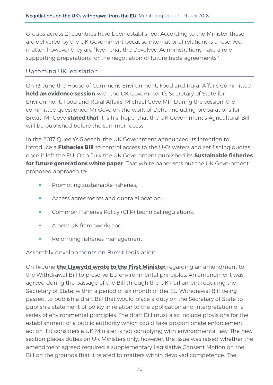Groups across 21 countries have been established. According to the Minister these are delivered by the UK Government because international relations is a reserved matter, however they are "keen that the Devolved Administrations have a role supporting preparations for the negotiation of future trade agreements."

#### Upcoming UK legislation

On 13 June the House of Commons Environment, Food and Rural Affairs Committee **[held an evidence session](http://data.parliament.uk/writtenevidence/committeeevidence.svc/evidencedocument/environment-food-and-rural-affairs-committee/the-work-of-defra/oral/85527.html)** with the UK Government's Secretary of State for Environment, Food and Rural Affairs, Michael Gove MP. During the session, the committee questioned Mr Gove on the work of Defra, including preparations for Brexit. Mr Gove **[stated that](http://data.parliament.uk/writtenevidence/committeeevidence.svc/evidencedocument/environment-food-and-rural-affairs-committee/the-work-of-defra/oral/85527.html)** it is his 'hope' that the UK Government's Agricultural Bill will be published before the summer recess.

In the 2017 Queen's Speech, the UK Government announced its intention to introduce a **[Fisheries Bill](https://www.gov.uk/government/publications/queens-speech-2017-background-briefing-notes)** to control access to the UK's waters and set fishing quotas once it left the EU. On 4 July the UK Government published its **[Sustainable fisheries](https://www.gov.uk/government/consultations/fisheries-white-paper-sustainable-fisheries-for-future-generations)  [for future generations white paper](https://www.gov.uk/government/consultations/fisheries-white-paper-sustainable-fisheries-for-future-generations)**. That white paper sets out the UK Government proposed approach to:

- Promoting sustainable fisheries;
- **Access agreements and quota allocation;**
- Common Fisheries Policy (CFP) technical regulations;
- **A** new UK framework: and
- **Reforming fisheries management.**

#### Assembly developments on Brexit legislation

On 14 June **[the Llywydd wrote to the First Minister](http://senedd.assembly.wales/documents/s76605/Correspondence%20from%20the%20Llywydd%20to%20the%20First%20Minister%20regarding%20the%20EU%20Withdrawal%20Bill%20and%20environ.pdf)** regarding an amendment to the Withdrawal Bill to preserve EU environmental principles. An amendment was agreed during the passage of the Bill through the UK Parliament requiring the Secretary of State, within a period of six month of the EU Withdrawal Bill being passed, to publish a draft Bill that would place a duty on the Secretary of State to publish a statement of policy in relation to the application and interpretation of a series of environmental principles. The draft Bill must also include provisions for the establishment of a public authority which could take proportionate enforcement action if it considers a UK Minister is not complying with environmental law. The new section places duties on UK Ministers only, however, the issue was raised whether the amendment agreed required a supplementary Legislative Consent Motion on the Bill on the grounds that it related to matters within devolved competence. The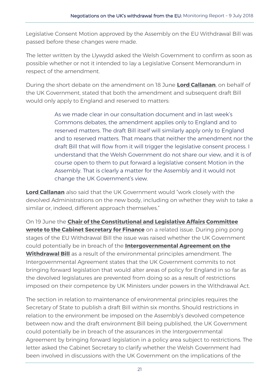Legislative Consent Motion approved by the Assembly on the EU Withdrawal Bill was passed before these changes were made.

The letter written by the Llywydd asked the Welsh Government to confirm as soon as possible whether or not it intended to lay a Legislative Consent Memorandum in respect of the amendment.

During the short debate on the amendment on 18 June **[Lord Callanan](https://goo.gl/9ikSVg)**, on behalf of the UK Government, stated that both the amendment and subsequent draft Bill would only apply to England and reserved to matters:

> As we made clear in our consultation document and in last week's Commons debates, the amendment applies only to England and to reserved matters. The draft Bill itself will similarly apply only to England and to reserved matters. That means that neither the amendment nor the draft Bill that will flow from it will trigger the legislative consent process. I understand that the Welsh Government do not share our view, and it is of course open to them to put forward a legislative consent Motion in the Assembly. That is clearly a matter for the Assembly and it would not change the UK Government's view.

**[Lord Callanan](https://goo.gl/fAaZXd)** also said that the UK Government would "work closely with the devolved Administrations on the new body, including on whether they wish to take a similar or, indeed, different approach themselves."

On 19 June the **[Chair of the Constitutional and Legislative Affairs Committee](http://senedd.assembly.wales/documents/s76623/Correspondence%20from%20Mick%20Antoniw%20Chair%20of%20the%20Constitutional%20and%20Legislative%20Affairs%20Committee%20to%20t.pdf)  [wrote to the Cabinet Secretary for Finance](http://senedd.assembly.wales/documents/s76623/Correspondence%20from%20Mick%20Antoniw%20Chair%20of%20the%20Constitutional%20and%20Legislative%20Affairs%20Committee%20to%20t.pdf)** on a related issue. During ping pong stages of the EU Withdrawal Bill the issue was raised whether the UK Government could potentially be in breach of the **[Intergovernmental Agreement on the](https://assets.publishing.service.gov.uk/government/uploads/system/uploads/attachment_data/file/702623/2018-04-24_UKG-DA_IGA_and_Memorandum.pdf)  [Withdrawal Bill](https://assets.publishing.service.gov.uk/government/uploads/system/uploads/attachment_data/file/702623/2018-04-24_UKG-DA_IGA_and_Memorandum.pdf)** as a result of the environmental principles amendment. The Intergovernmental Agreement states that the UK Government commits to not bringing forward legislation that would alter areas of policy for England in so far as the devolved legislatures are prevented from doing so as a result of restrictions imposed on their competence by UK Ministers under powers in the Withdrawal Act.

The section in relation to maintenance of environmental principles requires the Secretary of State to publish a draft Bill within six months. Should restrictions in relation to the environment be imposed on the Assembly's devolved competence between now and the draft environment Bill being published, the UK Government could potentially be in breach of the assurances in the Intergovernmental Agreement by bringing forward legislation in a policy area subject to restrictions. The letter asked the Cabinet Secretary to clarify whether the Welsh Government had been involved in discussions with the UK Government on the implications of the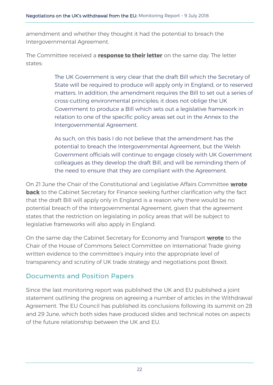amendment and whether they thought it had the potential to breach the Intergovernmental Agreement.

The Committee received a **[response to their letter](http://senedd.assembly.wales/documents/s76786/CLA5-18-18%20-%20Paper%206.pdf)** on the same day. The letter states:

> The UK Government is very clear that the draft Bill which the Secretary of State will be required to produce will apply only in England, or to reserved matters. In addition, the amendment requires the Bill to set out a series of cross-cutting environmental principles; it does not oblige the UK Government to produce a Bill which sets out a legislative framework in relation to one of the specific policy areas set out in the Annex to the Intergovernmental Agreement.

> As such, on this basis I do not believe that the amendment has the potential to breach the Intergovernmental Agreement, but the Welsh Government officials will continue to engage closely with UK Government colleagues as they develop the draft Bill, and will be reminding them of the need to ensure that they are compliant with the Agreement.

On 21 June the Chair of the Constitutional and Legislative Affairs Committee **[wrote](http://senedd.assembly.wales/documents/s76787/CLA5-18-18%20-%20Paper%207.pdf)  [back](http://senedd.assembly.wales/documents/s76787/CLA5-18-18%20-%20Paper%207.pdf)** to the Cabinet Secretary for Finance seeking further clarification why the fact that the draft Bill will apply only in England is a reason why there would be no potential breach of the Intergovernmental Agreement, given that the agreement states that the restriction on legislating in policy areas that will be subject to legislative frameworks will also apply in England.

On the same day the Cabinet Secretary for Economy and Transport **[wrote](http://senedd.assembly.wales/documents/s76649/Correspondence%20from%20the%20Cabinet%20Secretary%20for%20Finance%20regarding%20the%20inter-governmental%20agreement%20bet.pdf)** to the Chair of the House of Commons Select Committee on International Trade giving written evidence to the committee's inquiry into the appropriate level of transparency and scrutiny of UK trade strategy and negotiations post Brexit.

#### <span id="page-25-0"></span>Documents and Position Papers

Since the last monitoring report was published the UK and EU published a joint statement outlining the progress on agreeing a number of articles in the Withdrawal Agreement. The EU Council has published its conclusions following its summit on 28 and 29 June, which both sides have produced slides and technical notes on aspects of the future relationship between the UK and EU.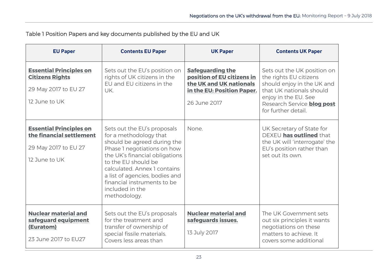Table 1 Position Papers and key documents published by the EU and UK

| <b>EU Paper</b>                                                                                     | <b>Contents EU Paper</b>                                                                                                                                                                                                                                                                                         | <b>UK Paper</b>                                                                                                                | <b>Contents UK Paper</b>                                                                                                                                                                            |
|-----------------------------------------------------------------------------------------------------|------------------------------------------------------------------------------------------------------------------------------------------------------------------------------------------------------------------------------------------------------------------------------------------------------------------|--------------------------------------------------------------------------------------------------------------------------------|-----------------------------------------------------------------------------------------------------------------------------------------------------------------------------------------------------|
| <b>Essential Principles on</b><br><b>Citizens Rights</b><br>29 May 2017 to EU 27<br>12 June to UK   | Sets out the EU's position on<br>rights of UK citizens in the<br>EU and EU citizens in the<br>UK.                                                                                                                                                                                                                | <b>Safeguarding the</b><br>position of EU citizens in<br>the UK and UK nationals<br>in the EU: Position Paper.<br>26 June 2017 | Sets out the UK position on<br>the rights EU citizens<br>should enjoy in the UK and<br>that UK nationals should<br>enjoy in the EU. See<br>Research Service <b>blog post</b><br>for further detail. |
| <b>Essential Principles on</b><br>the financial settlement<br>29 May 2017 to EU 27<br>12 June to UK | Sets out the EU's proposals<br>for a methodology that<br>should be agreed during the<br>Phase 1 negotiations on how<br>the UK's financial obligations<br>to the EU should be<br>calculated. Annex 1 contains<br>a list of agencies, bodies and<br>financial instruments to be<br>included in the<br>methodology. | None.                                                                                                                          | UK Secretary of State for<br>DEXEU has outlined that<br>the UK will 'interrogate' the<br>EU's position rather than<br>set out its own.                                                              |
| <b>Nuclear material and</b><br>safeguard equipment<br>(Euratom)<br>23 June 2017 to EU27             | Sets out the EU's proposals<br>for the treatment and<br>transfer of ownership of<br>special fissile materials.<br>Covers less areas than                                                                                                                                                                         | <b>Nuclear material and</b><br>safeguards issues.<br>13 July 2017                                                              | The UK Government sets<br>out six principles it wants<br>negotiations on these<br>matters to achieve. It<br>covers some additional                                                                  |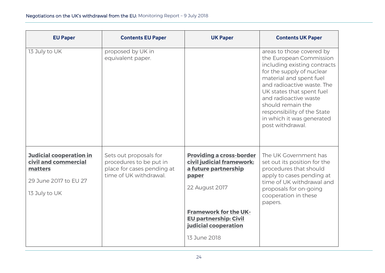| <b>EU Paper</b>                                                                                             | <b>Contents EU Paper</b>                                                                                  | <b>UK Paper</b>                                                                                                 | <b>Contents UK Paper</b>                                                                                                                                                                                                                                                                                                              |
|-------------------------------------------------------------------------------------------------------------|-----------------------------------------------------------------------------------------------------------|-----------------------------------------------------------------------------------------------------------------|---------------------------------------------------------------------------------------------------------------------------------------------------------------------------------------------------------------------------------------------------------------------------------------------------------------------------------------|
| 13 July to UK                                                                                               | proposed by UK in<br>equivalent paper.                                                                    |                                                                                                                 | areas to those covered by<br>the European Commission<br>including existing contracts<br>for the supply of nuclear<br>material and spent fuel<br>and radioactive waste. The<br>UK states that spent fuel<br>and radioactive waste<br>should remain the<br>responsibility of the State<br>in which it was generated<br>post withdrawal. |
| <b>Judicial cooperation in</b><br>civil and commercial<br>matters<br>29 June 2017 to EU 27<br>13 July to UK | Sets out proposals for<br>procedures to be put in<br>place for cases pending at<br>time of UK withdrawal. | <b>Providing a cross-border</b><br>civil judicial framework:<br>a future partnership<br>paper<br>22 August 2017 | The UK Government has<br>set out its position for the<br>procedures that should<br>apply to cases pending at<br>time of UK withdrawal and<br>proposals for on-going<br>cooperation in these<br>papers.                                                                                                                                |
|                                                                                                             |                                                                                                           | <b>Framework for the UK-</b><br><b>EU partnership: Civil</b><br>judicial cooperation<br>13 June 2018            |                                                                                                                                                                                                                                                                                                                                       |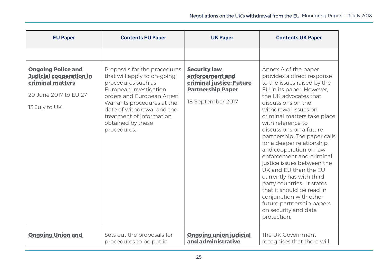| <b>EU Paper</b>                                                                 | <b>Contents EU Paper</b>                                                                                                                               | <b>UK Paper</b>                                                                                | <b>Contents UK Paper</b>                                                                                                                                                                                                                                                                                                                                                                                                                                                                                          |
|---------------------------------------------------------------------------------|--------------------------------------------------------------------------------------------------------------------------------------------------------|------------------------------------------------------------------------------------------------|-------------------------------------------------------------------------------------------------------------------------------------------------------------------------------------------------------------------------------------------------------------------------------------------------------------------------------------------------------------------------------------------------------------------------------------------------------------------------------------------------------------------|
| <b>Ongoing Police and</b><br><b>Judicial cooperation in</b><br>criminal matters | Proposals for the procedures<br>that will apply to on-going<br>procedures such as<br>European investigation                                            | <b>Security law</b><br>enforcement and<br>criminal justice: Future<br><b>Partnership Paper</b> | Annex A of the paper<br>provides a direct response<br>to the issues raised by the<br>EU in its paper. However,                                                                                                                                                                                                                                                                                                                                                                                                    |
| 29 June 2017 to EU 27<br>13 July to UK                                          | orders and European Arrest<br>Warrants procedures at the<br>date of withdrawal and the<br>treatment of information<br>obtained by these<br>procedures. | 18 September 2017                                                                              | the UK advocates that<br>discussions on the<br>withdrawal issues on<br>criminal matters take place<br>with reference to<br>discussions on a future<br>partnership. The paper calls<br>for a deeper relationship<br>and cooperation on law<br>enforcement and criminal<br>justice issues between the<br>UK and EU than the EU<br>currently has with third<br>party countries. It states<br>that it should be read in<br>conjunction with other<br>future partnership papers<br>on security and data<br>protection. |
| <b>Ongoing Union and</b>                                                        | Sets out the proposals for<br>procedures to be put in                                                                                                  | <b>Ongoing union judicial</b><br>and administrative                                            | The UK Government<br>recognises that there will                                                                                                                                                                                                                                                                                                                                                                                                                                                                   |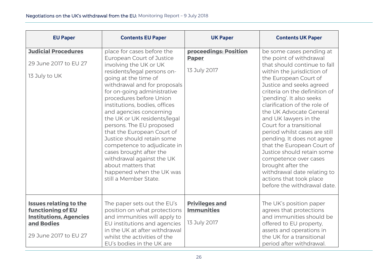| <b>EU Paper</b>                                                                                                            | <b>Contents EU Paper</b>                                                                                                                                                                                                                                                                                                                                                                                                                                                                                                                                                                 | <b>UK Paper</b>                                            | <b>Contents UK Paper</b>                                                                                                                                                                                                                                                                                                                                                                                                                                                                                                                                                                                              |
|----------------------------------------------------------------------------------------------------------------------------|------------------------------------------------------------------------------------------------------------------------------------------------------------------------------------------------------------------------------------------------------------------------------------------------------------------------------------------------------------------------------------------------------------------------------------------------------------------------------------------------------------------------------------------------------------------------------------------|------------------------------------------------------------|-----------------------------------------------------------------------------------------------------------------------------------------------------------------------------------------------------------------------------------------------------------------------------------------------------------------------------------------------------------------------------------------------------------------------------------------------------------------------------------------------------------------------------------------------------------------------------------------------------------------------|
| <b>Judicial Procedures</b><br>29 June 2017 to EU 27<br>13 July to UK                                                       | place for cases before the<br>European Court of Justice<br>involving the UK or UK<br>residents/legal persons on-<br>going at the time of<br>withdrawal and for proposals<br>for on-going administrative<br>procedures before Union<br>institutions, bodies, offices<br>and agencies concerning<br>the UK or UK residents/legal<br>persons. The EU proposed<br>that the European Court of<br>Justice should retain some<br>competence to adjudicate in<br>cases brought after the<br>withdrawal against the UK<br>about matters that<br>happened when the UK was<br>still a Member State. | proceedings: Position<br><b>Paper</b><br>13 July 2017      | be some cases pending at<br>the point of withdrawal<br>that should continue to fall<br>within the jurisdiction of<br>the European Court of<br>Justice and seeks agreed<br>criteria on the definition of<br>'pending'. It also seeks<br>clarification of the role of<br>the UK Advocate General<br>and UK lawyers in the<br>Court for a transitional<br>period whilst cases are still<br>pending. It does not agree<br>that the European Court of<br>Justice should retain some<br>competence over cases<br>brought after the<br>withdrawal date relating to<br>actions that took place<br>before the withdrawal date. |
| <b>Issues relating to the</b><br>functioning of EU<br><b>Institutions, Agencies</b><br>and Bodies<br>29 June 2017 to EU 27 | The paper sets out the EU's<br>position on what protections<br>and immunities will apply to<br>EU institutions and agencies<br>in the UK at after withdrawal<br>whilst the activities of the<br>EU's bodies in the UK are                                                                                                                                                                                                                                                                                                                                                                | <b>Privileges and</b><br><b>Immunities</b><br>13 July 2017 | The UK's position paper<br>agrees that protections<br>and immunities should be<br>offered to EU property,<br>assets and operations in<br>the UK for a transitional<br>period after withdrawal.                                                                                                                                                                                                                                                                                                                                                                                                                        |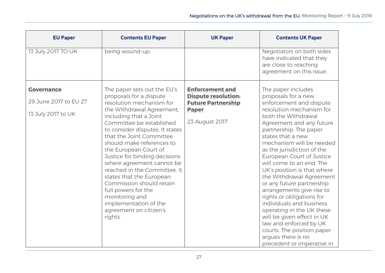| <b>EU Paper</b>                                                  | <b>Contents EU Paper</b>                                                                                                                                                                                                                                                                                                                                                                                                                                                                                                                                | <b>UK Paper</b>                                                                                                     | <b>Contents UK Paper</b>                                                                                                                                                                                                                                                                                                                                                                                                                                                                                                                                                                                                                                                   |
|------------------------------------------------------------------|---------------------------------------------------------------------------------------------------------------------------------------------------------------------------------------------------------------------------------------------------------------------------------------------------------------------------------------------------------------------------------------------------------------------------------------------------------------------------------------------------------------------------------------------------------|---------------------------------------------------------------------------------------------------------------------|----------------------------------------------------------------------------------------------------------------------------------------------------------------------------------------------------------------------------------------------------------------------------------------------------------------------------------------------------------------------------------------------------------------------------------------------------------------------------------------------------------------------------------------------------------------------------------------------------------------------------------------------------------------------------|
| 13 July 2017 TO UK                                               | being wound-up.                                                                                                                                                                                                                                                                                                                                                                                                                                                                                                                                         |                                                                                                                     | Negotiators on both sides<br>have indicated that they<br>are close to reaching<br>agreement on this issue.                                                                                                                                                                                                                                                                                                                                                                                                                                                                                                                                                                 |
| <b>Governance</b><br>29 June 2017 to EU 27<br>13 July 2017 to UK | The paper sets out the EU's<br>proposals for a dispute<br>resolution mechanism for<br>the Withdrawal Agreement,<br>including that a Joint<br>Committee be established<br>to consider disputes. It states<br>that the Joint Committee<br>should make references to<br>the European Court of<br>Justice for binding decisions<br>where agreement cannot be<br>reached in the Committee. It<br>states that the European<br>Commission should retain<br>full powers for the<br>monitoring and<br>implementation of the<br>agreement on citizen's<br>rights. | <b>Enforcement and</b><br><b>Dispute resolution:</b><br><b>Future Partnership</b><br><b>Paper</b><br>23 August 2017 | The paper includes<br>proposals for a new<br>enforcement and dispute<br>resolution mechanism for<br>both the Withdrawal<br>Agreement and any future<br>partnership. The paper<br>states that a new<br>mechanism will be needed<br>as the jurisdiction of the<br>European Court of Justice<br>will come to an end. The<br>UK's position is that where<br>the Withdrawal Agreement<br>or any future partnership<br>arrangements give rise to<br>rights or obligations for<br>individuals and business<br>operating in the UK these<br>will be given effect in UK<br>law and enforced by UK<br>courts. The position paper<br>argues there is no<br>precedent or imperative in |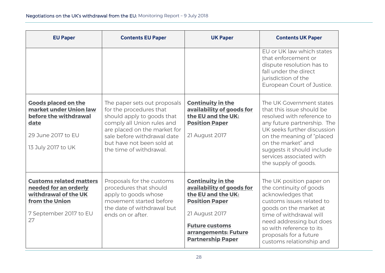| <b>EU Paper</b>                                                                                                                   | <b>Contents EU Paper</b>                                                                                                                                                                                                                   | <b>UK Paper</b>                                                                                                                                                                                     | <b>Contents UK Paper</b>                                                                                                                                                                                                                                                               |
|-----------------------------------------------------------------------------------------------------------------------------------|--------------------------------------------------------------------------------------------------------------------------------------------------------------------------------------------------------------------------------------------|-----------------------------------------------------------------------------------------------------------------------------------------------------------------------------------------------------|----------------------------------------------------------------------------------------------------------------------------------------------------------------------------------------------------------------------------------------------------------------------------------------|
|                                                                                                                                   |                                                                                                                                                                                                                                            |                                                                                                                                                                                                     | EU or UK law which states<br>that enforcement or<br>dispute resolution has to<br>fall under the direct<br>jurisdiction of the<br>European Court of Justice.                                                                                                                            |
| <b>Goods placed on the</b><br>market under Union law<br>before the withdrawal<br>date<br>29 June 2017 to EU<br>13 July 2017 to UK | The paper sets out proposals<br>for the procedures that<br>should apply to goods that<br>comply all Union rules and<br>are placed on the market for<br>sale before withdrawal date<br>but have not been sold at<br>the time of withdrawal. | <b>Continuity in the</b><br>availability of goods for<br>the EU and the UK:<br><b>Position Paper</b><br>21 August 2017                                                                              | The UK Government states<br>that this issue should be<br>resolved with reference to<br>any future partnership. The<br>UK seeks further discussion<br>on the meaning of "placed<br>on the market" and<br>suggests it should include<br>services associated with<br>the supply of goods. |
| <b>Customs related matters</b><br>needed for an orderly<br>withdrawal of the UK<br>from the Union<br>7 September 2017 to EU<br>27 | Proposals for the customs<br>procedures that should<br>apply to goods whose<br>movement started before<br>the date of withdrawal but<br>ends on or after.                                                                                  | <b>Continuity in the</b><br>availability of goods for<br>the EU and the UK:<br><b>Position Paper</b><br>21 August 2017<br><b>Future customs</b><br>arrangements: Future<br><b>Partnership Paper</b> | The UK position paper on<br>the continuity of goods<br>acknowledges that<br>customs issues related to<br>goods on the market at<br>time of withdrawal will<br>need addressing but does<br>so with reference to its<br>proposals for a future<br>customs relationship and               |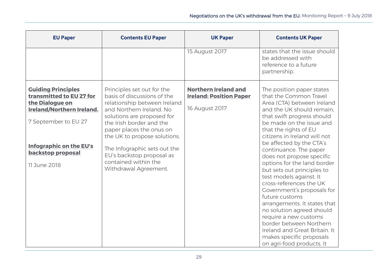| <b>EU Paper</b>                                                                                                                                                                                             | <b>Contents EU Paper</b>                                                                                                                                                                                                                                                                                                                                  | <b>UK Paper</b>                                                                 | <b>Contents UK Paper</b>                                                                                                                                                                                                                                                                                                                                                                                                                                                                                                                                                                                                                                                                           |
|-------------------------------------------------------------------------------------------------------------------------------------------------------------------------------------------------------------|-----------------------------------------------------------------------------------------------------------------------------------------------------------------------------------------------------------------------------------------------------------------------------------------------------------------------------------------------------------|---------------------------------------------------------------------------------|----------------------------------------------------------------------------------------------------------------------------------------------------------------------------------------------------------------------------------------------------------------------------------------------------------------------------------------------------------------------------------------------------------------------------------------------------------------------------------------------------------------------------------------------------------------------------------------------------------------------------------------------------------------------------------------------------|
|                                                                                                                                                                                                             |                                                                                                                                                                                                                                                                                                                                                           | 15 August 2017                                                                  | states that the issue should<br>be addressed with<br>reference to a future<br>partnership.                                                                                                                                                                                                                                                                                                                                                                                                                                                                                                                                                                                                         |
| <b>Guiding Principles</b><br>transmitted to EU 27 for<br>the Dialogue on<br><b>Ireland/Northern Ireland.</b><br>7 September to EU 27<br><b>Infographic on the EU's</b><br>backstop proposal<br>11 June 2018 | Principles set out for the<br>basis of discussions of the<br>relationship between Ireland<br>and Northern Ireland. No<br>solutions are proposed for<br>the Irish border and the<br>paper places the onus on<br>the UK to propose solutions.<br>The Infographic sets out the<br>EU's backstop proposal as<br>contained within the<br>Withdrawal Agreement. | <b>Northern Ireland and</b><br><b>Ireland: Position Paper</b><br>16 August 2017 | The position paper states<br>that the Common Travel<br>Area (CTA) between Ireland<br>and the UK should remain,<br>that swift progress should<br>be made on the issue and<br>that the rights of EU<br>citizens in Ireland will not<br>be affected by the CTA's<br>continuance. The paper<br>does not propose specific<br>options for the land border<br>but sets out principles to<br>test models against. It<br>cross-references the UK<br>Government's proposals for<br>future customs<br>arrangements. It states that<br>no solution agreed should<br>require a new customs<br>border between Northern<br>Ireland and Great Britain. It<br>makes specific proposals<br>on agri-food products. It |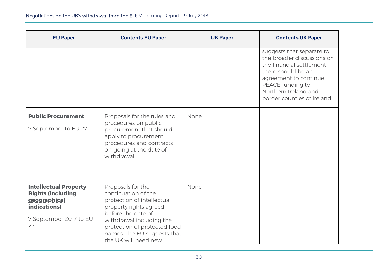| <b>EU Paper</b>                                                                                                          | <b>Contents EU Paper</b>                                                                                                                                                                                                                  | <b>UK Paper</b> | <b>Contents UK Paper</b>                                                                                                                                                                                      |
|--------------------------------------------------------------------------------------------------------------------------|-------------------------------------------------------------------------------------------------------------------------------------------------------------------------------------------------------------------------------------------|-----------------|---------------------------------------------------------------------------------------------------------------------------------------------------------------------------------------------------------------|
|                                                                                                                          |                                                                                                                                                                                                                                           |                 | suggests that separate to<br>the broader discussions on<br>the financial settlement<br>there should be an<br>agreement to continue<br>PEACE funding to<br>Northern Ireland and<br>border counties of Ireland. |
| <b>Public Procurement</b><br>7 September to EU 27                                                                        | Proposals for the rules and<br>procedures on public<br>procurement that should<br>apply to procurement<br>procedures and contracts<br>on-going at the date of<br>withdrawal.                                                              | None            |                                                                                                                                                                                                               |
| <b>Intellectual Property</b><br><b>Rights (including</b><br>geographical<br>indications)<br>7 September 2017 to EU<br>27 | Proposals for the<br>continuation of the<br>protection of intellectual<br>property rights agreed<br>before the date of<br>withdrawal including the<br>protection of protected food<br>names. The EU suggests that<br>the UK will need new | None            |                                                                                                                                                                                                               |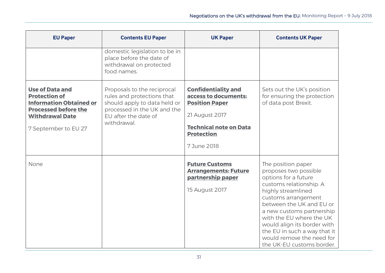| <b>EU Paper</b>                                                                                                                                                   | <b>Contents EU Paper</b>                                                                                                                                        | <b>UK Paper</b>                                                                                                                                                    | <b>Contents UK Paper</b>                                                                                                                                                                                                                                                                                                                                  |
|-------------------------------------------------------------------------------------------------------------------------------------------------------------------|-----------------------------------------------------------------------------------------------------------------------------------------------------------------|--------------------------------------------------------------------------------------------------------------------------------------------------------------------|-----------------------------------------------------------------------------------------------------------------------------------------------------------------------------------------------------------------------------------------------------------------------------------------------------------------------------------------------------------|
|                                                                                                                                                                   | domestic legislation to be in<br>place before the date of<br>withdrawal on protected<br>food names.                                                             |                                                                                                                                                                    |                                                                                                                                                                                                                                                                                                                                                           |
| <b>Use of Data and</b><br><b>Protection of</b><br><b>Information Obtained or</b><br><b>Processed before the</b><br><b>Withdrawal Date</b><br>7 September to EU 27 | Proposals to the reciprocal<br>rules and protections that<br>should apply to data held or<br>processed in the UK and the<br>EU after the date of<br>withdrawal. | <b>Confidentiality and</b><br>access to documents:<br><b>Position Paper</b><br>21 August 2017<br><b>Technical note on Data</b><br><b>Protection</b><br>7 June 2018 | Sets out the UK's position<br>for ensuring the protection<br>of data post Brexit.                                                                                                                                                                                                                                                                         |
| None                                                                                                                                                              |                                                                                                                                                                 | <b>Future Customs</b><br><b>Arrangements: Future</b><br>partnership paper<br>15 August 2017                                                                        | The position paper<br>proposes two possible<br>options for a future<br>customs relationship. A<br>highly streamlined<br>customs arrangement<br>between the UK and EU or<br>a new customs partnership<br>with the EU where the UK<br>would align its border with<br>the EU in such a way that it<br>would remove the need for<br>the UK-EU customs border. |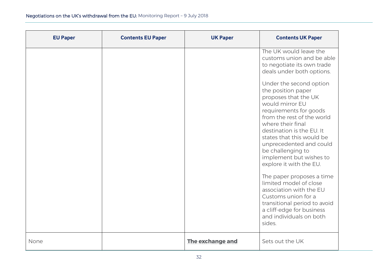| <b>EU Paper</b> | <b>Contents EU Paper</b> | <b>UK Paper</b>  | <b>Contents UK Paper</b>                                                                                                                                                                                                                                                                                                                                           |
|-----------------|--------------------------|------------------|--------------------------------------------------------------------------------------------------------------------------------------------------------------------------------------------------------------------------------------------------------------------------------------------------------------------------------------------------------------------|
|                 |                          |                  | The UK would leave the<br>customs union and be able<br>to negotiate its own trade<br>deals under both options.                                                                                                                                                                                                                                                     |
|                 |                          |                  | Under the second option<br>the position paper<br>proposes that the UK<br>would mirror EU<br>requirements for goods<br>from the rest of the world<br>where their final<br>destination is the EU. It<br>states that this would be<br>unprecedented and could<br>be challenging to<br>implement but wishes to<br>explore it with the EU.<br>The paper proposes a time |
|                 |                          |                  | limited model of close<br>association with the EU<br>Customs union for a<br>transitional period to avoid<br>a cliff-edge for business<br>and individuals on both<br>sides.                                                                                                                                                                                         |
| None            |                          | The exchange and | Sets out the UK                                                                                                                                                                                                                                                                                                                                                    |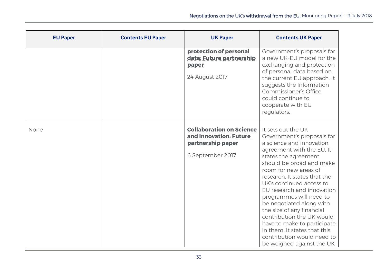| <b>EU Paper</b> | <b>Contents EU Paper</b> | <b>UK Paper</b>                                                                                    | <b>Contents UK Paper</b>                                                                                                                                                                                                                                                                                                                                                                                                                                                                                                    |
|-----------------|--------------------------|----------------------------------------------------------------------------------------------------|-----------------------------------------------------------------------------------------------------------------------------------------------------------------------------------------------------------------------------------------------------------------------------------------------------------------------------------------------------------------------------------------------------------------------------------------------------------------------------------------------------------------------------|
|                 |                          | protection of personal<br>data: Future partnership<br>paper<br>24 August 2017                      | Government's proposals for<br>a new UK-EU model for the<br>exchanging and protection<br>of personal data based on<br>the current EU approach. It<br>suggests the Information<br>Commissioner's Office<br>could continue to<br>cooperate with EU<br>regulators.                                                                                                                                                                                                                                                              |
| None            |                          | <b>Collaboration on Science</b><br>and innovation: Future<br>partnership paper<br>6 September 2017 | It sets out the UK<br>Government's proposals for<br>a science and innovation<br>agreement with the EU. It<br>states the agreement<br>should be broad and make<br>room for new areas of<br>research. It states that the<br>UK's continued access to<br>EU research and innovation<br>programmes will need to<br>be negotiated along with<br>the size of any financial<br>contribution the UK would<br>have to make to participate<br>in them. It states that this<br>contribution would need to<br>be weighed against the UK |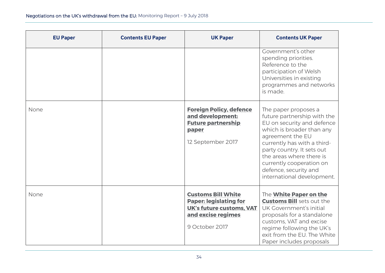| <b>EU Paper</b> | <b>Contents EU Paper</b> | <b>UK Paper</b>                                                                                                                       | <b>Contents UK Paper</b>                                                                                                                                                                                                                                                                                       |
|-----------------|--------------------------|---------------------------------------------------------------------------------------------------------------------------------------|----------------------------------------------------------------------------------------------------------------------------------------------------------------------------------------------------------------------------------------------------------------------------------------------------------------|
|                 |                          |                                                                                                                                       | Government's other<br>spending priorities.<br>Reference to the<br>participation of Welsh<br>Universities in existing<br>programmes and networks<br>is made.                                                                                                                                                    |
| None            |                          | <b>Foreign Policy, defence</b><br>and development:<br><b>Future partnership</b><br>paper<br>12 September 2017                         | The paper proposes a<br>future partnership with the<br>EU on security and defence<br>which is broader than any<br>agreement the EU<br>currently has with a third-<br>party country. It sets out<br>the areas where there is<br>currently cooperation on<br>defence, security and<br>international development. |
| None            |                          | <b>Customs Bill White</b><br><b>Paper: legislating for</b><br><b>UK's future customs, VAT</b><br>and excise regimes<br>9 October 2017 | The <b>White Paper on the</b><br><b>Customs Bill</b> sets out the<br>UK Government's initial<br>proposals for a standalone<br>customs, VAT and excise<br>regime following the UK's<br>exit from the EU. The White<br>Paper includes proposals                                                                  |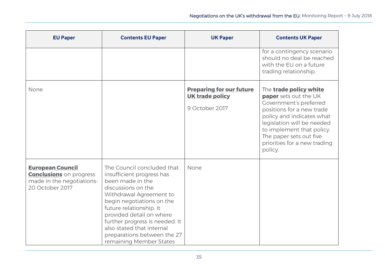| <b>EU Paper</b>                                                                                           | <b>Contents EU Paper</b>                                                                                                                                                                                                                                                                                                                  | <b>UK Paper</b>                                                             | <b>Contents UK Paper</b>                                                                                                                                                                                                                                             |
|-----------------------------------------------------------------------------------------------------------|-------------------------------------------------------------------------------------------------------------------------------------------------------------------------------------------------------------------------------------------------------------------------------------------------------------------------------------------|-----------------------------------------------------------------------------|----------------------------------------------------------------------------------------------------------------------------------------------------------------------------------------------------------------------------------------------------------------------|
|                                                                                                           |                                                                                                                                                                                                                                                                                                                                           |                                                                             | for a contingency scenario<br>should no deal be reached<br>with the EU on a future<br>trading relationship.                                                                                                                                                          |
| None                                                                                                      |                                                                                                                                                                                                                                                                                                                                           | <b>Preparing for our future</b><br><b>UK trade policy</b><br>9 October 2017 | The trade policy white<br>paper sets out the UK<br>Government's preferred<br>positions for a new trade<br>policy and indicates what<br>legislation will be needed<br>to implement that policy.<br>The paper sets out five<br>priorities for a new trading<br>policy. |
| <b>European Council</b><br><b>Conclusions</b> on progress<br>made in the negotiations-<br>20 October 2017 | The Council concluded that<br>insufficient progress has<br>been made in the<br>discussions on the<br>Withdrawal Agreement to<br>begin negotiations on the<br>future relationship. It<br>provided detail on where<br>further progress is needed. It<br>also stated that internal<br>preparations between the 27<br>remaining Member States | None                                                                        |                                                                                                                                                                                                                                                                      |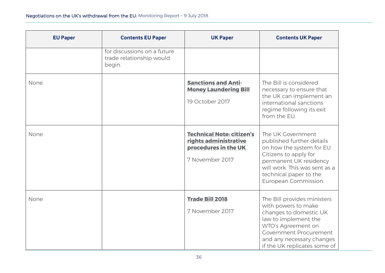| <b>EU Paper</b> | <b>Contents EU Paper</b>                                          | <b>UK Paper</b>                                                                                      | <b>Contents UK Paper</b>                                                                                                                                                                                                 |
|-----------------|-------------------------------------------------------------------|------------------------------------------------------------------------------------------------------|--------------------------------------------------------------------------------------------------------------------------------------------------------------------------------------------------------------------------|
|                 | for discussions on a future<br>trade relationship would<br>begin. |                                                                                                      |                                                                                                                                                                                                                          |
| None            |                                                                   | <b>Sanctions and Anti-</b><br><b>Money Laundering Bill</b><br>19 October 2017                        | The Bill is considered<br>necessary to ensure that<br>the UK can implement an<br>international sanctions<br>regime following its exit<br>from the EU.                                                                    |
| None            |                                                                   | <b>Technical Note: citizen's</b><br>rights administrative<br>procedures in the UK<br>7 November 2017 | The UK Government<br>published further details<br>on how the system for EU<br>Citizens to apply for<br>permanent UK residency<br>will work. This was sent as a<br>technical paper to the<br>European Commission.         |
| None            |                                                                   | <b>Trade Bill 2018</b><br>7 November 2017                                                            | The Bill provides ministers<br>with powers to make<br>changes to domestic UK<br>law to implement the<br>WTO's Agreement on<br><b>Government Procurement</b><br>and any necessary changes<br>if the UK replicates some of |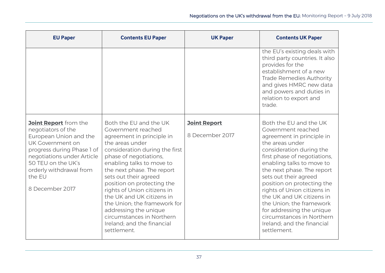| <b>EU Paper</b>                                                                                                                                                                                                                            | <b>Contents EU Paper</b>                                                                                                                                                                                                                                                                                                                                                                                                                                                  | <b>UK Paper</b>                        | <b>Contents UK Paper</b>                                                                                                                                                                                                                                                                                                                                                                                                                                                  |
|--------------------------------------------------------------------------------------------------------------------------------------------------------------------------------------------------------------------------------------------|---------------------------------------------------------------------------------------------------------------------------------------------------------------------------------------------------------------------------------------------------------------------------------------------------------------------------------------------------------------------------------------------------------------------------------------------------------------------------|----------------------------------------|---------------------------------------------------------------------------------------------------------------------------------------------------------------------------------------------------------------------------------------------------------------------------------------------------------------------------------------------------------------------------------------------------------------------------------------------------------------------------|
|                                                                                                                                                                                                                                            |                                                                                                                                                                                                                                                                                                                                                                                                                                                                           |                                        | the EU's existing deals with<br>third party countries. It also<br>provides for the<br>establishment of a new<br><b>Trade Remedies Authority</b><br>and gives HMRC new data<br>and powers and duties in<br>relation to export and<br>trade.                                                                                                                                                                                                                                |
| <b>Joint Report</b> from the<br>negotiators of the<br>European Union and the<br>UK Government on<br>progress during Phase 1 of<br>negotiations under Article<br>50 TEU on the UK's<br>orderly withdrawal from<br>the EU<br>8 December 2017 | Both the EU and the UK<br>Government reached<br>agreement in principle in<br>the areas under<br>consideration during the first<br>phase of negotiations,<br>enabling talks to move to<br>the next phase. The report<br>sets out their agreed<br>position on protecting the<br>rights of Union citizens in<br>the UK and UK citizens in<br>the Union; the framework for<br>addressing the unique<br>circumstances in Northern<br>Ireland; and the financial<br>settlement. | <b>Joint Report</b><br>8 December 2017 | Both the EU and the UK<br>Government reached<br>agreement in principle in<br>the areas under<br>consideration during the<br>first phase of negotiations,<br>enabling talks to move to<br>the next phase. The report<br>sets out their agreed<br>position on protecting the<br>rights of Union citizens in<br>the UK and UK citizens in<br>the Union; the framework<br>for addressing the unique<br>circumstances in Northern<br>Ireland; and the financial<br>settlement. |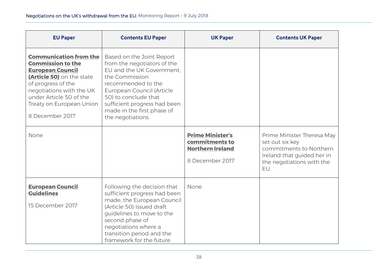| <b>EU Paper</b>                                                                                                                                                                                                                               | <b>Contents EU Paper</b>                                                                                                                                                                                                                                              | <b>UK Paper</b>                                                                         | <b>Contents UK Paper</b>                                                                                                                   |
|-----------------------------------------------------------------------------------------------------------------------------------------------------------------------------------------------------------------------------------------------|-----------------------------------------------------------------------------------------------------------------------------------------------------------------------------------------------------------------------------------------------------------------------|-----------------------------------------------------------------------------------------|--------------------------------------------------------------------------------------------------------------------------------------------|
| <b>Communication from the</b><br><b>Commission to the</b><br><b>European Council</b><br>(Article 50) on the state<br>of progress of the<br>negotiations with the UK<br>under Article 50 of the<br>Treaty on European Union<br>8 December 2017 | Based on the Joint Report<br>from the negotiators of the<br>EU and the UK Government.<br>the Commission<br>recommended to the<br>European Council (Article<br>50) to conclude that<br>sufficient progress had been<br>made in the first phase of<br>the negotiations. |                                                                                         |                                                                                                                                            |
| None                                                                                                                                                                                                                                          |                                                                                                                                                                                                                                                                       | <b>Prime Minister's</b><br>commitments to<br><b>Northern Ireland</b><br>8 December 2017 | Prime Minister Theresa May<br>set out six key<br>commitments to Northern<br>Ireland that guided her in<br>the negotiations with the<br>EU. |
| <b>European Council</b><br><b>Guidelines</b><br>15 December 2017                                                                                                                                                                              | Following the decision that<br>sufficient progress had been<br>made, the European Council<br>(Article 50) issued draft<br>guidelines to move to the<br>second phase of<br>negotiations where a<br>transition period and the<br>framework for the future               | None                                                                                    |                                                                                                                                            |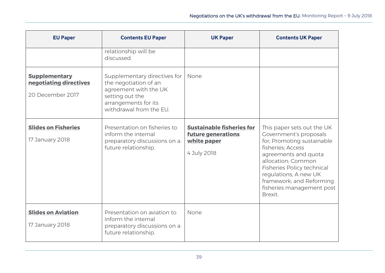| <b>EU Paper</b>                                                    | <b>Contents EU Paper</b>                                                                                                                             | <b>UK Paper</b>                                                                      | <b>Contents UK Paper</b>                                                                                                                                                                                                                                                                |
|--------------------------------------------------------------------|------------------------------------------------------------------------------------------------------------------------------------------------------|--------------------------------------------------------------------------------------|-----------------------------------------------------------------------------------------------------------------------------------------------------------------------------------------------------------------------------------------------------------------------------------------|
|                                                                    | relationship will be<br>discussed.                                                                                                                   |                                                                                      |                                                                                                                                                                                                                                                                                         |
| <b>Supplementary</b><br>negotiating directives<br>20 December 2017 | Supplementary directives for<br>the negotiation of an<br>agreement with the UK<br>setting out the<br>arrangements for its<br>withdrawal from the EU. | None                                                                                 |                                                                                                                                                                                                                                                                                         |
| <b>Slides on Fisheries</b><br>17 January 2018                      | Presentation on fisheries to<br>inform the internal<br>preparatory discussions on a<br>future relationship.                                          | <b>Sustainable fisheries for</b><br>future generations<br>white paper<br>4 July 2018 | This paper sets out the UK<br>Government's proposals<br>for; Promoting sustainable<br>fisheries; Access<br>agreements and quota<br>allocation: Common<br><b>Fisheries Policy technical</b><br>regulations; A new UK<br>framework; and Reforming<br>fisheries management post<br>Brexit. |
| <b>Slides on Aviation</b><br>17 January 2018                       | Presentation on aviation to<br>inform the internal<br>preparatory discussions on a<br>future relationship.                                           | None                                                                                 |                                                                                                                                                                                                                                                                                         |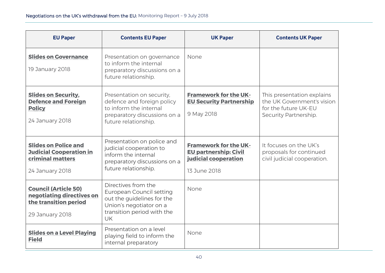| <b>EU Paper</b>                                                                                      | <b>Contents EU Paper</b>                                                                                                                            | <b>UK Paper</b>                                                                                      | <b>Contents UK Paper</b>                                                                                  |
|------------------------------------------------------------------------------------------------------|-----------------------------------------------------------------------------------------------------------------------------------------------------|------------------------------------------------------------------------------------------------------|-----------------------------------------------------------------------------------------------------------|
| <b>Slides on Governance</b><br>19 January 2018                                                       | Presentation on governance<br>to inform the internal<br>preparatory discussions on a<br>future relationship.                                        | None                                                                                                 |                                                                                                           |
| <b>Slides on Security,</b><br><b>Defence and Foreign</b><br><b>Policy</b><br>24 January 2018         | Presentation on security,<br>defence and foreign policy<br>to inform the internal<br>preparatory discussions on a<br>future relationship.           | <b>Framework for the UK-</b><br><b>EU Security Partnership</b><br>9 May 2018                         | This presentation explains<br>the UK Government's vision<br>for the future UK-EU<br>Security Partnership. |
| <b>Slides on Police and</b><br><b>Judicial Cooperation in</b><br>criminal matters<br>24 January 2018 | Presentation on police and<br>judicial cooperation to<br>inform the internal<br>preparatory discussions on a<br>future relationship.                | <b>Framework for the UK-</b><br><b>EU partnership: Civil</b><br>judicial cooperation<br>13 June 2018 | It focuses on the UK's<br>proposals for continued<br>civil judicial cooperation.                          |
| <b>Council (Article 50)</b><br>negotiating directives on<br>the transition period<br>29 January 2018 | Directives from the<br>European Council setting<br>out the guidelines for the<br>Union's negotiator on a<br>transition period with the<br><b>UK</b> | None                                                                                                 |                                                                                                           |
| <b>Slides on a Level Playing</b><br><b>Field</b>                                                     | Presentation on a level<br>playing field to inform the<br>internal preparatory                                                                      | None                                                                                                 |                                                                                                           |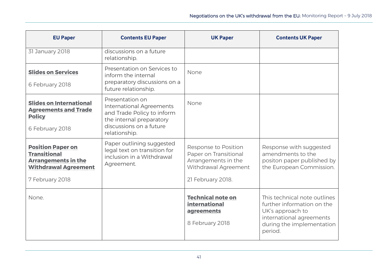| <b>EU Paper</b>                                                                                                                 | <b>Contents EU Paper</b>                                                                                                                          | <b>UK Paper</b>                                                                                                   | <b>Contents UK Paper</b>                                                                                                                           |
|---------------------------------------------------------------------------------------------------------------------------------|---------------------------------------------------------------------------------------------------------------------------------------------------|-------------------------------------------------------------------------------------------------------------------|----------------------------------------------------------------------------------------------------------------------------------------------------|
| 31 January 2018                                                                                                                 | discussions on a future<br>relationship.                                                                                                          |                                                                                                                   |                                                                                                                                                    |
| <b>Slides on Services</b><br>6 February 2018                                                                                    | Presentation on Services to<br>inform the internal<br>preparatory discussions on a<br>future relationship.                                        | None                                                                                                              |                                                                                                                                                    |
| <b>Slides on International</b><br><b>Agreements and Trade</b><br><b>Policy</b><br>6 February 2018                               | Presentation on<br>International Agreements<br>and Trade Policy to inform<br>the internal preparatory<br>discussions on a future<br>relationship. | None                                                                                                              |                                                                                                                                                    |
| <b>Position Paper on</b><br><b>Transitional</b><br><b>Arrangements in the</b><br><b>Withdrawal Agreement</b><br>7 February 2018 | Paper outlining suggested<br>legal text on transition for<br>inclusion in a Withdrawal<br>Agreement.                                              | Response to Position<br>Paper on Transitional<br>Arrangements in the<br>Withdrawal Agreement<br>21 February 2018. | Response with suggested<br>amendments to the<br>positon paper published by<br>the European Commission.                                             |
| None.                                                                                                                           |                                                                                                                                                   | <b>Technical note on</b><br>international<br>agreements<br>8 February 2018                                        | This technical note outlines<br>further information on the<br>UK's approach to<br>international agreements<br>during the implementation<br>period. |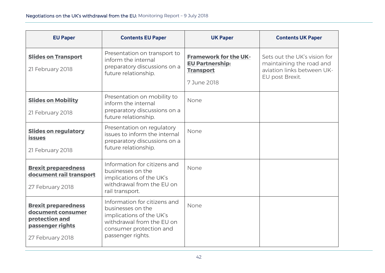| <b>EU Paper</b>                                                                                           | <b>Contents EU Paper</b>                                                                                                                                   | <b>UK Paper</b>                                                                           | <b>Contents UK Paper</b>                                                                                  |
|-----------------------------------------------------------------------------------------------------------|------------------------------------------------------------------------------------------------------------------------------------------------------------|-------------------------------------------------------------------------------------------|-----------------------------------------------------------------------------------------------------------|
| <b>Slides on Transport</b><br>21 February 2018                                                            | Presentation on transport to<br>inform the internal<br>preparatory discussions on a<br>future relationship.                                                | <b>Framework for the UK-</b><br><b>EU Partnership:</b><br><b>Transport</b><br>7 June 2018 | Sets out the UK's vision for<br>maintaining the road and<br>aviation links between UK-<br>EU post Brexit. |
| <b>Slides on Mobility</b><br>21 February 2018                                                             | Presentation on mobility to<br>inform the internal<br>preparatory discussions on a<br>future relationship.                                                 | None                                                                                      |                                                                                                           |
| <b>Slides on regulatory</b><br><b>issues</b><br>21 February 2018                                          | Presentation on regulatory<br>issues to inform the internal<br>preparatory discussions on a<br>future relationship.                                        | None                                                                                      |                                                                                                           |
| <b>Brexit preparedness</b><br>document rail transport<br>27 February 2018                                 | Information for citizens and<br>businesses on the<br>implications of the UK's<br>withdrawal from the EU on<br>rail transport.                              | None                                                                                      |                                                                                                           |
| <b>Brexit preparedness</b><br>document consumer<br>protection and<br>passenger rights<br>27 February 2018 | Information for citizens and<br>businesses on the<br>implications of the UK's<br>withdrawal from the EU on<br>consumer protection and<br>passenger rights. | None                                                                                      |                                                                                                           |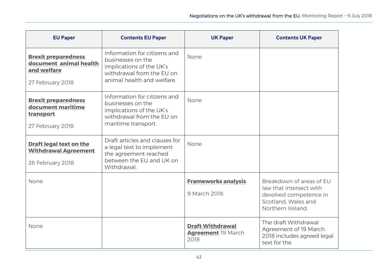| <b>EU Paper</b>                                                                         | <b>Contents EU Paper</b>                                                                                                                 | <b>UK Paper</b>                                       | <b>Contents UK Paper</b>                                                                                                  |
|-----------------------------------------------------------------------------------------|------------------------------------------------------------------------------------------------------------------------------------------|-------------------------------------------------------|---------------------------------------------------------------------------------------------------------------------------|
| <b>Brexit preparedness</b><br>document animal health<br>and welfare<br>27 February 2018 | Information for citizens and<br>businesses on the<br>implications of the UK's<br>withdrawal from the EU on<br>animal health and welfare. | None                                                  |                                                                                                                           |
| <b>Brexit preparedness</b><br>document maritime<br>transport<br>27 February 2018        | Information for citizens and<br>businesses on the<br>implications of the UK's<br>withdrawal from the EU on<br>maritime transport.        | None                                                  |                                                                                                                           |
| <b>Draft legal text on the</b><br><b>Withdrawal Agreement</b><br>28 February 2018       | Draft articles and clauses for<br>a legal text to implement<br>the agreement reached<br>between the EU and UK on<br>Withdrawal.          | None                                                  |                                                                                                                           |
| None                                                                                    |                                                                                                                                          | <b>Frameworks analysis</b><br>9 March 2018            | Breakdown of areas of EU<br>law that intersect with<br>devolved competence in<br>Scotland, Wales and<br>Northern Ireland. |
| None                                                                                    |                                                                                                                                          | <b>Draft Withdrawal</b><br>Agreement 19 March<br>2018 | The draft Withdrawal<br>Agreement of 19 March<br>2018 includes agreed legal<br>text for the                               |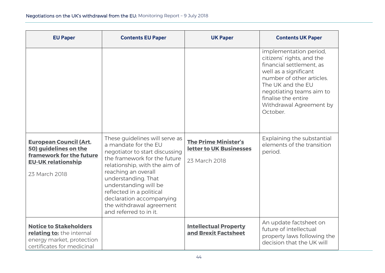| <b>EU Paper</b>                                                                                                                  | <b>Contents EU Paper</b>                                                                                                                                                                                                                                                                                                                       | <b>UK Paper</b>                                                         | <b>Contents UK Paper</b>                                                                                                                                                                                                                             |
|----------------------------------------------------------------------------------------------------------------------------------|------------------------------------------------------------------------------------------------------------------------------------------------------------------------------------------------------------------------------------------------------------------------------------------------------------------------------------------------|-------------------------------------------------------------------------|------------------------------------------------------------------------------------------------------------------------------------------------------------------------------------------------------------------------------------------------------|
|                                                                                                                                  |                                                                                                                                                                                                                                                                                                                                                |                                                                         | implementation period,<br>citizens' rights, and the<br>financial settlement, as<br>well as a significant<br>number of other articles.<br>The UK and the EU<br>negotiating teams aim to<br>finalise the entire<br>Withdrawal Agreement by<br>October. |
| <b>European Council (Art.</b><br>50) guidelines on the<br>framework for the future<br><b>EU-UK relationship</b><br>23 March 2018 | These guidelines will serve as<br>a mandate for the EU<br>negotiator to start discussing<br>the framework for the future<br>relationship, with the aim of<br>reaching an overall<br>understanding. That<br>understanding will be<br>reflected in a political<br>declaration accompanying<br>the withdrawal agreement<br>and referred to in it. | <b>The Prime Minister's</b><br>letter to UK Businesses<br>23 March 2018 | Explaining the substantial<br>elements of the transition<br>period.                                                                                                                                                                                  |
| <b>Notice to Stakeholders</b><br>relating to: the internal<br>energy market, protection<br>certificates for medicinal            |                                                                                                                                                                                                                                                                                                                                                | <b>Intellectual Property</b><br>and Brexit Factsheet                    | An update factsheet on<br>future of intellectual<br>property laws following the<br>decision that the UK will                                                                                                                                         |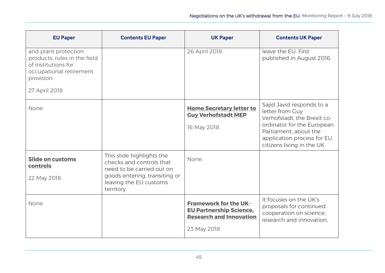| <b>EU Paper</b>                                                                                                      | <b>Contents EU Paper</b>                                                                                                                                    | <b>UK Paper</b>                                                                                                 | <b>Contents UK Paper</b>                                                                                                                                                                       |
|----------------------------------------------------------------------------------------------------------------------|-------------------------------------------------------------------------------------------------------------------------------------------------------------|-----------------------------------------------------------------------------------------------------------------|------------------------------------------------------------------------------------------------------------------------------------------------------------------------------------------------|
| and plant protection<br>products, rules in the field<br>of institutions for<br>occupational retirement<br>provision. |                                                                                                                                                             | 26 April 2018                                                                                                   | leave the EU. First<br>published in August 2016.                                                                                                                                               |
| 27 April 2018                                                                                                        |                                                                                                                                                             |                                                                                                                 |                                                                                                                                                                                                |
| None                                                                                                                 |                                                                                                                                                             | <b>Home Secretary letter to</b><br><b>Guy Verhofstadt MEP</b><br>16 May 2018                                    | Sajid Javid responds to a<br>letter from Guy<br>Verhofstadt, the Brexit co-<br>ordinator for the European<br>Parliament, about the<br>application process for EU<br>citizens living in the UK. |
| <b>Slide on customs</b><br>controls<br>22 May 2018                                                                   | This slide highlights the<br>checks and controls that<br>need to be carried out on<br>goods entering, transiting or<br>leaving the EU customs<br>territory. | None.                                                                                                           |                                                                                                                                                                                                |
| None                                                                                                                 |                                                                                                                                                             | <b>Framework for the UK-</b><br><b>EU Partnership Science,</b><br><b>Research and Innovation</b><br>23 May 2018 | It focuses on the UK's<br>proposals for continued<br>cooperation on science,<br>research and innovation.                                                                                       |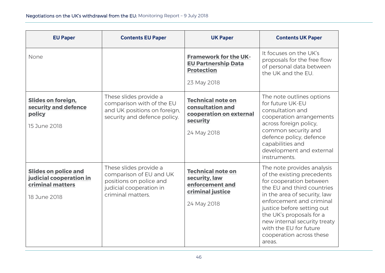| <b>EU Paper</b>                                                                            | <b>Contents EU Paper</b>                                                                                                     | <b>UK Paper</b>                                                                                    | <b>Contents UK Paper</b>                                                                                                                                                                                                                                                                                                                |
|--------------------------------------------------------------------------------------------|------------------------------------------------------------------------------------------------------------------------------|----------------------------------------------------------------------------------------------------|-----------------------------------------------------------------------------------------------------------------------------------------------------------------------------------------------------------------------------------------------------------------------------------------------------------------------------------------|
| None                                                                                       |                                                                                                                              | <b>Framework for the UK-</b><br><b>EU Partnership Data</b><br><b>Protection</b><br>23 May 2018     | It focuses on the UK's<br>proposals for the free flow<br>of personal data between<br>the UK and the EU.                                                                                                                                                                                                                                 |
| <b>Slides on foreign,</b><br>security and defence<br>policy<br>15 June 2018                | These slides provide a<br>comparison with of the EU<br>and UK positions on foreign,<br>security and defence policy.          | <b>Technical note on</b><br>consultation and<br>cooperation on external<br>security<br>24 May 2018 | The note outlines options<br>for future UK-EU<br>consultation and<br>cooperation arrangements<br>across foreign policy,<br>common security and<br>defence policy, defence<br>capabilities and<br>development and external<br>instruments.                                                                                               |
| <b>Slides on police and</b><br>judicial cooperation in<br>criminal matters<br>18 June 2018 | These slides provide a<br>comparison of EU and UK<br>positions on police and<br>judicial cooperation in<br>criminal matters. | <b>Technical note on</b><br>security, law<br>enforcement and<br>criminal justice<br>24 May 2018    | The note provides analysis<br>of the existing precedents<br>for cooperation between<br>the EU and third countries<br>in the area of security, law<br>enforcement and criminal<br>justice before setting out<br>the UK's proposals for a<br>new internal security treaty<br>with the EU for future<br>cooperation across these<br>areas. |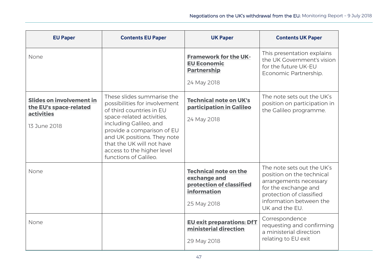| <b>EU Paper</b>                                                                                | <b>Contents EU Paper</b>                                                                                                                                                                                                                                                                        | <b>UK Paper</b>                                                                                        | <b>Contents UK Paper</b>                                                                                                                                                           |
|------------------------------------------------------------------------------------------------|-------------------------------------------------------------------------------------------------------------------------------------------------------------------------------------------------------------------------------------------------------------------------------------------------|--------------------------------------------------------------------------------------------------------|------------------------------------------------------------------------------------------------------------------------------------------------------------------------------------|
| None                                                                                           |                                                                                                                                                                                                                                                                                                 | <b>Framework for the UK-</b><br><b>EU Economic</b><br><b>Partnership</b><br>24 May 2018                | This presentation explains<br>the UK Government's vision<br>for the future UK-EU<br>Economic Partnership.                                                                          |
|                                                                                                |                                                                                                                                                                                                                                                                                                 |                                                                                                        |                                                                                                                                                                                    |
| <b>Slides on involvement in</b><br>the EU's space-related<br><b>activities</b><br>13 June 2018 | These slides summarise the<br>possibilities for involvement<br>of third countries in EU<br>space-related activities,<br>including Galileo, and<br>provide a comparison of EU<br>and UK positions. They note<br>that the UK will not have<br>access to the higher level<br>functions of Galileo. | <b>Technical note on UK's</b><br>participation in Galileo<br>24 May 2018                               | The note sets out the UK's<br>position on participation in<br>the Galileo programme.                                                                                               |
| None                                                                                           |                                                                                                                                                                                                                                                                                                 | <b>Technical note on the</b><br>exchange and<br>protection of classified<br>information<br>25 May 2018 | The note sets out the UK's<br>position on the technical<br>arrangements necessary<br>for the exchange and<br>protection of classified<br>information between the<br>UK and the EU. |
| None                                                                                           |                                                                                                                                                                                                                                                                                                 | <b>EU exit preparations: DfT</b><br>ministerial direction<br>29 May 2018                               | Correspondence<br>requesting and confirming<br>a ministerial direction<br>relating to EU exit                                                                                      |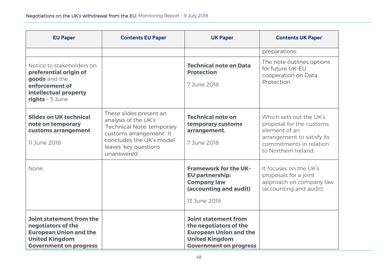| <b>EU Paper</b>                                                                                                                           | <b>Contents EU Paper</b>                                                                                                                                                       | <b>UK Paper</b>                                                                                                                                  | <b>Contents UK Paper</b>                                                                                                                              |
|-------------------------------------------------------------------------------------------------------------------------------------------|--------------------------------------------------------------------------------------------------------------------------------------------------------------------------------|--------------------------------------------------------------------------------------------------------------------------------------------------|-------------------------------------------------------------------------------------------------------------------------------------------------------|
|                                                                                                                                           |                                                                                                                                                                                |                                                                                                                                                  | preparations.                                                                                                                                         |
| Notice to stakeholders on<br>preferential origin of<br>goods and the<br>enforcement of<br>intellectual property<br>rights - 5 June        |                                                                                                                                                                                | <b>Technical note on Data</b><br><b>Protection</b><br>7 June 2018                                                                                | The note outlines options<br>for future UK-EU<br>cooperation on Data<br>Protection.                                                                   |
| <b>Slides on UK technical</b><br>note on temporary<br>customs arrangement<br>11 June 2018                                                 | These slides present an<br>analysis of the UK's<br>'Technical Note: temporary<br>customs arrangement'. It<br>concludes the UK's model<br>leaves 'key questions<br>unanswered'. | <b>Technical note on</b><br>temporary customs<br>arrangement,<br>7 June 2018                                                                     | Which sets out the UK's<br>proposal for the customs<br>element of an<br>arrangement to satisfy its<br>commitments in relation<br>to Northern Ireland. |
| None.                                                                                                                                     |                                                                                                                                                                                | <b>Framework for the UK-</b><br><b>EU partnership:</b><br><b>Company law</b><br>(accounting and audit)<br>13 June 2018                           | It focuses on the UK's<br>proposals for a joint<br>approach on company law<br>(accounting and audit).                                                 |
| Joint statement from the<br>negotiators of the<br><b>European Union and the</b><br><b>United Kingdom</b><br><b>Government on progress</b> |                                                                                                                                                                                | <b>Joint statement from</b><br>the negotiators of the<br><b>European Union and the</b><br><b>United Kingdom</b><br><b>Government on progress</b> |                                                                                                                                                       |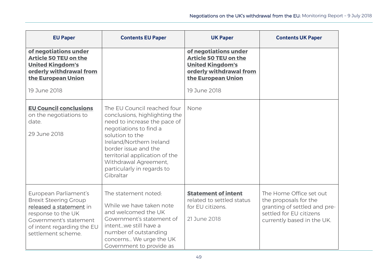| <b>EU Paper</b>                                                                                                                                                                      | <b>Contents EU Paper</b>                                                                                                                                                                                                                                                                            | <b>UK Paper</b>                                                                                                                   | <b>Contents UK Paper</b>                                                                                                                  |
|--------------------------------------------------------------------------------------------------------------------------------------------------------------------------------------|-----------------------------------------------------------------------------------------------------------------------------------------------------------------------------------------------------------------------------------------------------------------------------------------------------|-----------------------------------------------------------------------------------------------------------------------------------|-------------------------------------------------------------------------------------------------------------------------------------------|
| of negotiations under<br><b>Article 50 TEU on the</b><br><b>United Kingdom's</b><br>orderly withdrawal from<br>the European Union                                                    |                                                                                                                                                                                                                                                                                                     | of negotiations under<br><b>Article 50 TEU on the</b><br><b>United Kingdom's</b><br>orderly withdrawal from<br>the European Union |                                                                                                                                           |
| 19 June 2018                                                                                                                                                                         |                                                                                                                                                                                                                                                                                                     | 19 June 2018                                                                                                                      |                                                                                                                                           |
| <b>EU Council conclusions</b><br>on the negotiations to<br>date.<br>29 June 2018                                                                                                     | The EU Council reached four<br>conclusions, highlighting the<br>need to increase the pace of<br>negotiations to find a<br>solution to the<br>Ireland/Northern Ireland<br>border issue and the<br>territorial application of the<br>Withdrawal Agreement,<br>particularly in regards to<br>Gibraltar | None                                                                                                                              |                                                                                                                                           |
| European Parliament's<br><b>Brexit Steering Group</b><br>released a statement in<br>response to the UK<br>Government's statement<br>of intent regarding the EU<br>settlement scheme. | The statement noted:<br>While we have taken note<br>and welcomed the UK<br>Government's statement of<br>intentwe still have a<br>number of outstanding<br>concerns We urge the UK<br>Government to provide as                                                                                       | <b>Statement of intent</b><br>related to settled status<br>for EU citizens.<br>21 June 2018                                       | The Home Office set out<br>the proposals for the<br>granting of settled and pre-<br>settled for EU citizens<br>currently based in the UK. |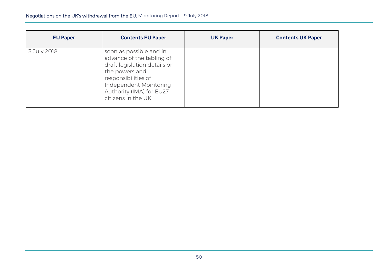| <b>EU Paper</b> | <b>Contents EU Paper</b>                                                                                                                                                                                   | <b>UK Paper</b> | <b>Contents UK Paper</b> |
|-----------------|------------------------------------------------------------------------------------------------------------------------------------------------------------------------------------------------------------|-----------------|--------------------------|
| 3 July 2018     | soon as possible and in<br>advance of the tabling of<br>draft legislation details on<br>the powers and<br>responsibilities of<br>Independent Monitoring<br>Authority (IMA) for EU27<br>citizens in the UK. |                 |                          |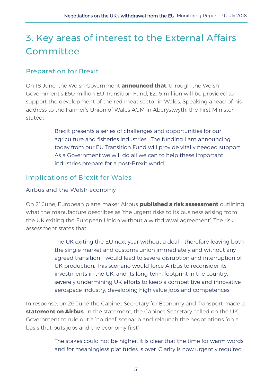# <span id="page-54-0"></span>3. Key areas of interest to the External Affairs **Committee**

## <span id="page-54-1"></span>Preparation for Brexit

On 18 June, the Welsh Government **[announced that](https://gov.wales/newsroom/environmentandcountryside/2018/180618-over-3m-to-help-meat-fisheries-sectors-prepare-for-brexit/?lang=en)**, through the Welsh Government's £50 million EU Transition Fund, £2.15 million will be provided to support the development of the red meat sector in Wales. Speaking ahead of his address to the Farmer's Union of Wales AGM in Aberystwyth, the First Minister stated:

> Brexit presents a series of challenges and opportunities for our agriculture and fisheries industries. The funding I am announcing today from our EU Transition Fund will provide vitally needed support. As a Government we will do all we can to help these important industries prepare for a post-Brexit world.

#### <span id="page-54-2"></span>Implications of Brexit for Wales

#### Airbus and the Welsh economy

On 21 June, European plane maker Airbus **[published a risk assessment](http://www.airbus.com/newsroom/press-releases/en/2018/06/airbus-provides-update-on-impact-of-brexit-no-deal-deal-scenario.html)** outlining what the manufacture describes as 'the urgent risks to its business arising from the UK exiting the European Union without a withdrawal agreement'. The risk assessment states that:

> The UK exiting the EU next year without a deal – therefore leaving both the single market and customs union immediately and without any agreed transition – would lead to severe disruption and interruption of UK production. This scenario would force Airbus to reconsider its investments in the UK, and its long-term footprint in the country, severely undermining UK efforts to keep a competitive and innovative aerospace industry, developing high value jobs and competences.

In response, on 26 June the Cabinet Secretary for Economy and Transport made a **[statement on Airbus](http://record.assembly.wales/Plenary/4994#A44611)**. In the statement, the Cabinet Secretary called on the UK Government to rule out a 'no deal' scenario and relaunch the negotiations "on a basis that puts jobs and the economy first":

> The stakes could not be higher. It is clear that the time for warm words and for meaningless platitudes is over. Clarity is now urgently required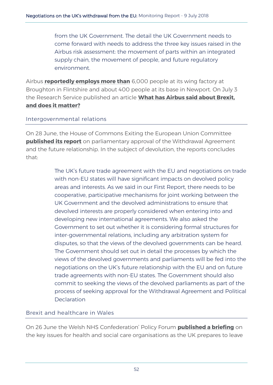from the UK Government. The detail the UK Government needs to come forward with needs to address the three key issues raised in the Airbus risk assessment: the movement of parts within an integrated supply chain, the movement of people, and future regulatory environment.

Airbus **[reportedly employs more than](https://www.bbc.co.uk/news/uk-wales-44567870)** 6,000 people at its wing factory at Broughton in Flintshire and about 400 people at its base in Newport. On July 3 the Research Service published an article **[What has Airbus said about Brexit,](https://emea01.safelinks.protection.outlook.com/?url=https%3A%2F%2Fseneddresearch.blog%2F2018%2F07%2F03%2Fwhat-has-airbus-said-about-brexit-and-does-it-matter%2F&data=02%7C01%7Cjoe.champion%40assembly.wales%7C1616b80fa0b6425eb2d208d5e0e0482d%7C38dc5129340c45148a044e8ef2771564%7C1%7C0%7C636662176243088682&sdata=NZZtnsnW9LJrkSv4R77dmWi2djU0fcOHlJmqdp2c0SU%3D&reserved=0)  [and does it](https://emea01.safelinks.protection.outlook.com/?url=https%3A%2F%2Fseneddresearch.blog%2F2018%2F07%2F03%2Fwhat-has-airbus-said-about-brexit-and-does-it-matter%2F&data=02%7C01%7Cjoe.champion%40assembly.wales%7C1616b80fa0b6425eb2d208d5e0e0482d%7C38dc5129340c45148a044e8ef2771564%7C1%7C0%7C636662176243088682&sdata=NZZtnsnW9LJrkSv4R77dmWi2djU0fcOHlJmqdp2c0SU%3D&reserved=0) matter?**

#### Intergovernmental relations

On 28 June, the House of Commons Exiting the European Union Committee **[published its report](https://www.parliament.uk/business/committees/committees-a-z/commons-select/exiting-the-european-union-committee/news-parliament-2017/progress-negotiations-parliamentary-approval-report-published-17-19/)** on parliamentary approval of the Withdrawal Agreement and the future relationship. In the subject of devolution, the reports concludes that:

> The UK's future trade agreement with the EU and negotiations on trade with non-EU states will have significant impacts on devolved policy areas and interests. As we said in our First Report, there needs to be cooperative, participative mechanisms for joint working between the UK Government and the devolved administrations to ensure that devolved interests are properly considered when entering into and developing new international agreements. We also asked the Government to set out whether it is considering formal structures for inter-governmental relations, including any arbitration system for disputes, so that the views of the devolved governments can be heard. The Government should set out in detail the processes by which the views of the devolved governments and parliaments will be fed into the negotiations on the UK's future relationship with the EU and on future trade agreements with non-EU states. The Government should also commit to seeking the views of the devolved parliaments as part of the process of seeking approval for the Withdrawal Agreement and Political **Declaration**

#### Brexit and healthcare in Wales

On 26 June the Welsh NHS Confederation' Policy Forum **[published a briefing](https://www.bda.uk.com/professional/influencing/wnhsc_brexit_briefing.pdf)** on the key issues for health and social care organisations as the UK prepares to leave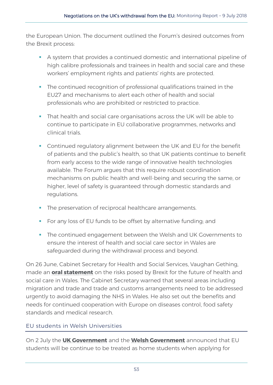the European Union. The document outlined the Forum's desired outcomes from the Brexit process:

- A system that provides a continued domestic and international pipeline of high calibre professionals and trainees in health and social care and these workers' employment rights and patients' rights are protected.
- The continued recognition of professional qualifications trained in the EU27 and mechanisms to alert each other of health and social professionals who are prohibited or restricted to practice.
- That health and social care organisations across the UK will be able to continue to participate in EU collaborative programmes, networks and clinical trials.
- Continued regulatory alignment between the UK and EU for the benefit of patients and the public's health, so that UK patients continue to benefit from early access to the wide range of innovative health technologies available. The Forum argues that this require robust coordination mechanisms on public health and well-being and securing the same, or higher, level of safety is guaranteed through domestic standards and regulations.
- **The preservation of reciprocal healthcare arrangements.**
- **For any loss of EU funds to be offset by alternative funding; and**
- **The continued engagement between the Welsh and UK Governments to** ensure the interest of health and social care sector in Wales are safeguarded during the withdrawal process and beyond.

On 26 June, Cabinet Secretary for Health and Social Services, Vaughan Gething, made an **[oral statement](http://record.assembly.wales/Plenary/4994#A44490)** on the risks posed by Brexit for the future of health and social care in Wales. The Cabinet Secretary warned that several areas including migration and trade and trade and customs arrangements need to be addressed urgently to avoid damaging the NHS in Wales. He also set out the benefits and needs for continued cooperation with Europe on diseases control, food safety standards and medical research.

#### EU students in Welsh Universities

On 2 July the **[UK Government](https://www.gov.uk/government/news/further-financial-support-for-uk-and-eu-students)** and the **[Welsh Government](https://gov.wales/newsroom/educationandskills/2018/kirsty-williams-confirms-eu-student-funding-guarantee-for-welsh-universities/?lang=en)** announced that EU students will be continue to be treated as home students when applying for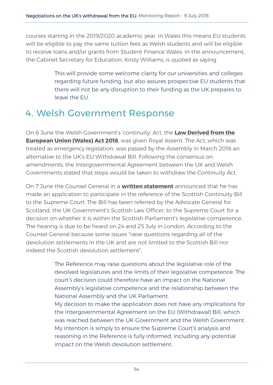courses starting in the 2019/2020 academic year. In Wales this means EU students will be eligible to pay the same tuition fees as Welsh students and will be eligible to receive loans and/or grants from Student Finance Wales. In the announcement, the Cabinet Secretary for Education, Kirsty Williams, is quoted as saying

> This will provide some welcome clarity for our universities and colleges regarding future funding, but also assures prospective EU students that there will not be any disruption to their funding as the UK prepares to leave the EU.

## <span id="page-57-0"></span>4. Welsh Government Response

On 6 June the Welsh Government's 'continuity' Act, the **[Law Derived from the](http://www.senedd.assembly.wales/mgIssueHistoryHome.aspx?IId=21280)  [European Union \(Wales\) Act 2018](http://www.senedd.assembly.wales/mgIssueHistoryHome.aspx?IId=21280)**, was given Royal Assent. The Act, which was treated as emergency legislation, was passed by the Assembly in March 2018 an alternative to the UK's EU Withdrawal Bill. Following the consensus on amendments, the Intergovernmental Agreement between the UK and Welsh Governments stated that steps would be taken to withdraw the Continuity Act.

On 7 June the Counsel General in a **[written statement](https://gov.wales/about/cabinet/cabinetstatements/2018/participationbycginrefofukwithdrawal/?lang=en)** announced that he has made an application to participate in the reference of the Scottish Continuity Bill to the Supreme Court. The Bill has been referred by the Advocate General for Scotland, the UK Government's Scottish Law Officer, to the Supreme Court for a decision on whether it is within the Scottish Parliament's legislative competence. The hearing is due to be heard on 24 and 25 July in London. According to the Counsel General because some issues "raise questions regarding all of the devolution settlements in the UK and are not limited to the Scottish Bill nor indeed the Scottish devolution settlement":

> The Reference may raise questions about the legislative role of the devolved legislatures and the limits of their legislative competence. The court's decision could therefore have an impact on the National Assembly's legislative competence and the relationship between the National Assembly and the UK Parliament.

> My decision to make the application does not have any implications for the Intergovernmental Agreement on the EU (Withdrawal) Bill, which was reached between the UK Government and the Welsh Government. My intention is simply to ensure the Supreme Court's analysis and reasoning in the Reference is fully informed, including any potential impact on the Welsh devolution settlement.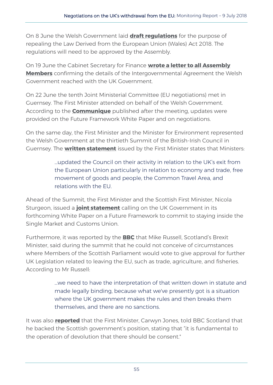On 8 June the Welsh Government laid **[draft regulations](http://www.assembly.wales/laid%20documents/sub-ld11583/sub-ld11583-e.pdf)** for the purpose of repealing the Law Derived from the European Union (Wales) Act 2018. The regulations will need to be approved by the Assembly.

On 19 June the Cabinet Secretary for Finance **[wrote a letter to all Assembly](http://senedd.assembly.wales/documents/s76649/Correspondence%20from%20the%20Cabinet%20Secretary%20for%20Finance%20regarding%20the%20inter-governmental%20agreement%20bet.pdf)  [Members](http://senedd.assembly.wales/documents/s76649/Correspondence%20from%20the%20Cabinet%20Secretary%20for%20Finance%20regarding%20the%20inter-governmental%20agreement%20bet.pdf)** confirming the details of the Intergovernmental Agreement the Welsh Government reached with the UK Government.

On 22 June the tenth Joint Ministerial Committee (EU negotiations) met in Guernsey. The First Minister attended on behalf of the Welsh Government. According to the **[Communique](https://www.gov.uk/government/publications/communique-from-the-jmcen-22-june)** published after the meeting, updates were provided on the Future Framework White Paper and on negotiations.

On the same day, the First Minister and the Minister for Environment represented the Welsh Government at the thirtieth Summit of the British-Irish Council in Guernsey. The **[written statement](https://gov.wales/about/cabinet/cabinetstatements/2018/30thsummitofbic/?lang=en)** issued by the First Minister states that Ministers:

> …updated the Council on their activity in relation to the UK's exit from the European Union particularly in relation to economy and trade, free movement of goods and people, the Common Travel Area, and relations with the EU.

Ahead of the Summit, the First Minister and the Scottish First Minister, Nicola Sturgeon, issued a **[joint statement](http://www.itv.com/news/wales/2018-06-22/wales-british-irish-council-guernsey/)** calling on the UK Government in its forthcoming White Paper on a Future Framework to commit to staying inside the Single Market and Customs Union.

Furthermore, it was reported by the **[BBC](https://www.bbc.co.uk/news/uk-scotland-scotland-politics-44565070)** that Mike Russell, Scotland's Brexit Minister, said during the summit that he could not conceive of circumstances where Members of the Scottish Parliament would vote to give approval for further UK Legislation related to leaving the EU, such as trade, agriculture, and fisheries. According to Mr Russell:

> …we need to have the interpretation of that written down in statute and made legally binding, because what we've presently got is a situation where the UK government makes the rules and then breaks them themselves, and there are no sanctions.

It was also **[reported](https://www.bbc.co.uk/news/uk-scotland-scotland-politics-44565070)** that the First Minister, Carwyn Jones, told BBC Scotland that he backed the Scottish government's position, stating that "it is fundamental to the operation of devolution that there should be consent."